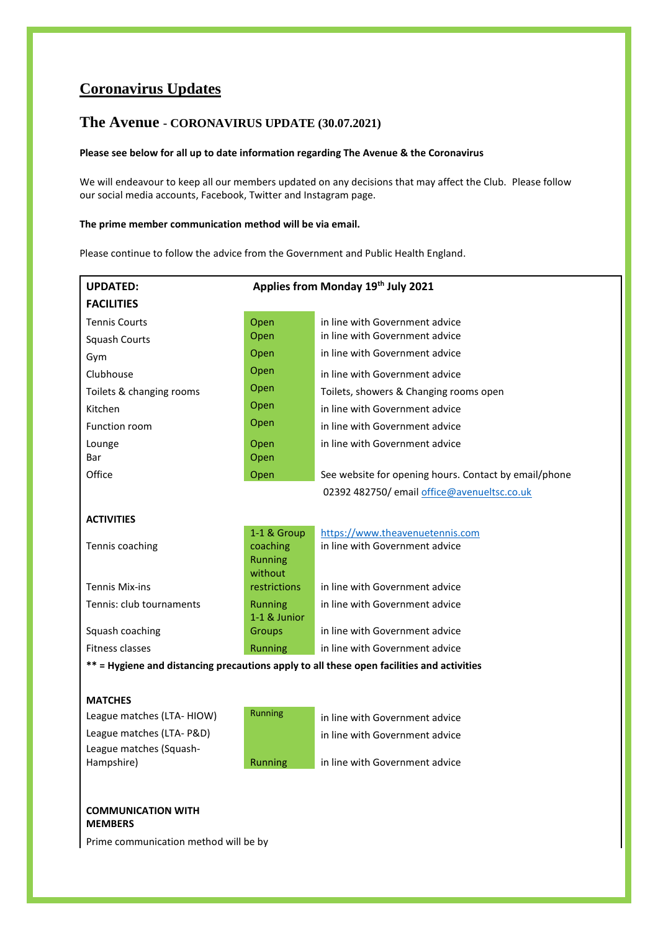# **Coronavirus Updates**

# **The Avenue - CORONAVIRUS UPDATE (30.07.2021)**

# **Please see below for all up to date information regarding The Avenue & the Coronavirus**

We will endeavour to keep all our members updated on any decisions that may affect the Club. Please follow our social media accounts, Facebook, Twitter and Instagram page.

# **The prime member communication method will be via email.**

Please continue to follow the advice from the Government and Public Health England.

| <b>UPDATED:</b>                                                                           | Applies from Monday 19th July 2021 |                                                       |
|-------------------------------------------------------------------------------------------|------------------------------------|-------------------------------------------------------|
| <b>FACILITIES</b>                                                                         |                                    |                                                       |
| <b>Tennis Courts</b>                                                                      | Open                               | in line with Government advice                        |
| <b>Squash Courts</b>                                                                      | Open                               | in line with Government advice                        |
| Gym                                                                                       | Open                               | in line with Government advice                        |
| Clubhouse                                                                                 | Open                               | in line with Government advice                        |
| Toilets & changing rooms                                                                  | Open                               | Toilets, showers & Changing rooms open                |
| Kitchen                                                                                   | Open                               | in line with Government advice                        |
| Function room                                                                             | Open                               | in line with Government advice                        |
| Lounge                                                                                    | Open                               | in line with Government advice                        |
| Bar                                                                                       | Open                               |                                                       |
| Office                                                                                    | Open                               | See website for opening hours. Contact by email/phone |
|                                                                                           |                                    | 02392 482750/ email office@avenueltsc.co.uk           |
| <b>ACTIVITIES</b>                                                                         |                                    |                                                       |
|                                                                                           | 1-1 & Group                        | https://www.theavenuetennis.com                       |
| Tennis coaching                                                                           | coaching                           | in line with Government advice                        |
|                                                                                           | Running                            |                                                       |
| <b>Tennis Mix-ins</b>                                                                     | without<br>restrictions            | in line with Government advice                        |
| Tennis: club tournaments                                                                  | <b>Running</b>                     | in line with Government advice                        |
|                                                                                           | 1-1 & Junior                       |                                                       |
| Squash coaching                                                                           | Groups                             | in line with Government advice                        |
| Fitness classes                                                                           | Running                            | in line with Government advice                        |
| ** = Hygiene and distancing precautions apply to all these open facilities and activities |                                    |                                                       |
|                                                                                           |                                    |                                                       |
| <b>MATCHES</b>                                                                            |                                    |                                                       |
| League matches (LTA-HIOW)                                                                 | <b>Running</b>                     | in line with Government advice                        |
| League matches (LTA- P&D)                                                                 |                                    | in line with Government advice                        |
| League matches (Squash-                                                                   |                                    |                                                       |
| Hampshire)                                                                                | Running                            | in line with Government advice                        |
|                                                                                           |                                    |                                                       |
| <b>COMMUNICATION WITH</b><br><b>MEMBERS</b>                                               |                                    |                                                       |
| Prime communication method will be by                                                     |                                    |                                                       |
|                                                                                           |                                    |                                                       |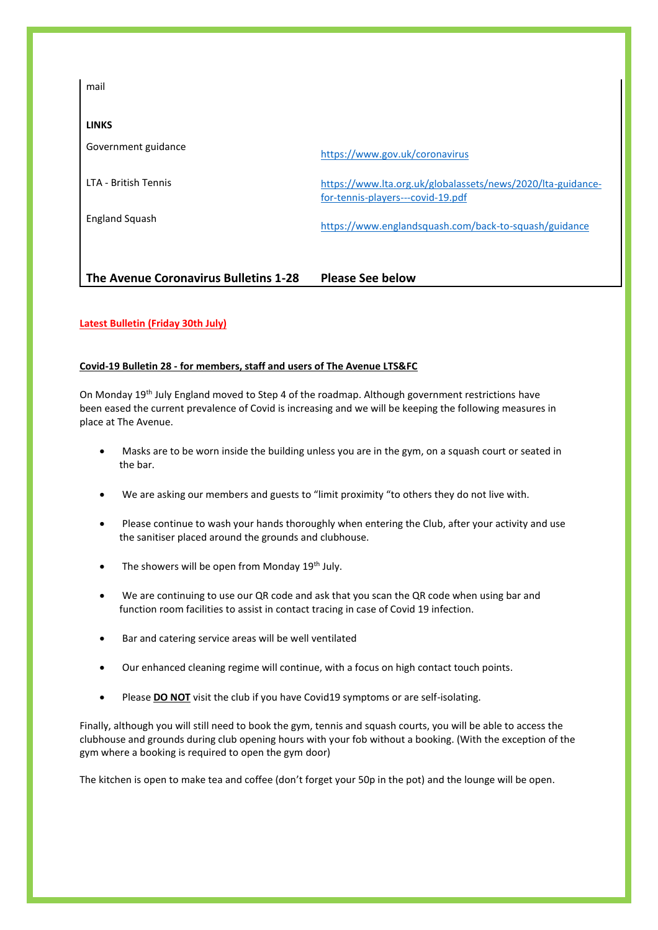| The Avenue Coronavirus Bulletins 1-28 | https://www.englandsquash.com/back-to-squash/guidance<br><b>Please See below</b>                 |
|---------------------------------------|--------------------------------------------------------------------------------------------------|
| <b>England Squash</b>                 |                                                                                                  |
| LTA - British Tennis                  | https://www.lta.org.uk/globalassets/news/2020/lta-guidance-<br>for-tennis-players---covid-19.pdf |
| Government guidance                   | https://www.gov.uk/coronavirus                                                                   |
| <b>LINKS</b>                          |                                                                                                  |
| mail                                  |                                                                                                  |

# **Latest Bulletin (Friday 30th July)**

# **Covid-19 Bulletin 28 - for members, staff and users of The Avenue LTS&FC**

On Monday 19th July England moved to Step 4 of the roadmap. Although government restrictions have been eased the current prevalence of Covid is increasing and we will be keeping the following measures in place at The Avenue.

- Masks are to be worn inside the building unless you are in the gym, on a squash court or seated in the bar.
- We are asking our members and guests to "limit proximity "to others they do not live with.
- Please continue to wash your hands thoroughly when entering the Club, after your activity and use the sanitiser placed around the grounds and clubhouse.
- The showers will be open from Monday  $19<sup>th</sup>$  July.
- We are continuing to use our QR code and ask that you scan the QR code when using bar and function room facilities to assist in contact tracing in case of Covid 19 infection.
- Bar and catering service areas will be well ventilated
- Our enhanced cleaning regime will continue, with a focus on high contact touch points.
- Please **DO NOT** visit the club if you have Covid19 symptoms or are self-isolating.

Finally, although you will still need to book the gym, tennis and squash courts, you will be able to access the clubhouse and grounds during club opening hours with your fob without a booking. (With the exception of the gym where a booking is required to open the gym door)

The kitchen is open to make tea and coffee (don't forget your 50p in the pot) and the lounge will be open.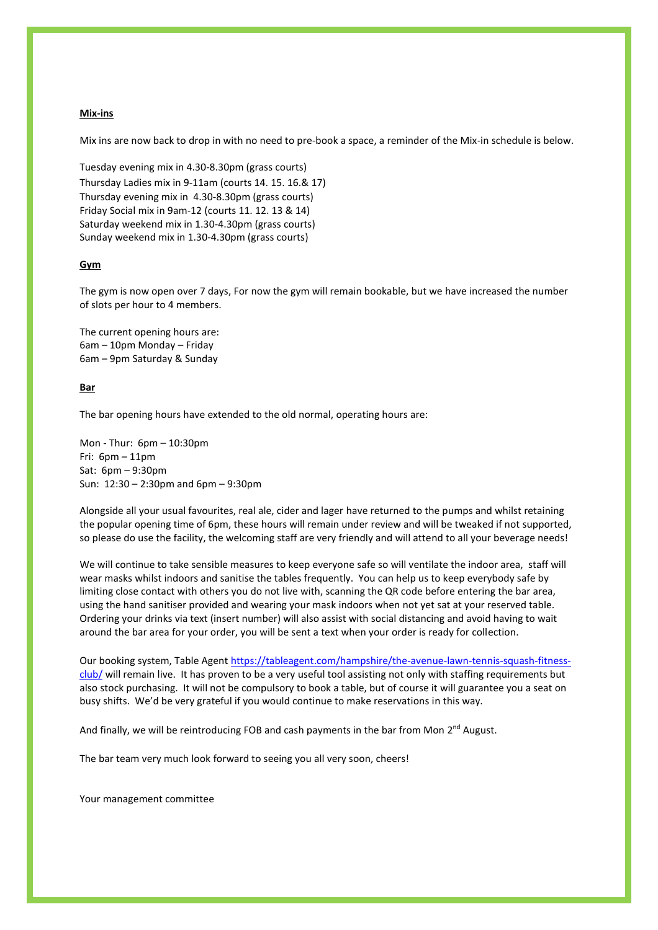#### **Mix-ins**

Mix ins are now back to drop in with no need to pre-book a space, a reminder of the Mix-in schedule is below.

Tuesday evening mix in 4.30-8.30pm (grass courts) Thursday Ladies mix in 9-11am (courts 14. 15. 16.& 17) Thursday evening mix in 4.30-8.30pm (grass courts) Friday Social mix in 9am-12 (courts 11. 12. 13 & 14) Saturday weekend mix in 1.30-4.30pm (grass courts) Sunday weekend mix in 1.30-4.30pm (grass courts)

#### **Gym**

The gym is now open over 7 days, For now the gym will remain bookable, but we have increased the number of slots per hour to 4 members.

The current opening hours are: 6am – 10pm Monday – Friday 6am – 9pm Saturday & Sunday

#### **Bar**

The bar opening hours have extended to the old normal, operating hours are:

Mon - Thur: 6pm – 10:30pm Fri: 6pm – 11pm Sat: 6pm – 9:30pm Sun: 12:30 – 2:30pm and 6pm – 9:30pm

Alongside all your usual favourites, real ale, cider and lager have returned to the pumps and whilst retaining the popular opening time of 6pm, these hours will remain under review and will be tweaked if not supported, so please do use the facility, the welcoming staff are very friendly and will attend to all your beverage needs!

We will continue to take sensible measures to keep everyone safe so will ventilate the indoor area, staff will wear masks whilst indoors and sanitise the tables frequently. You can help us to keep everybody safe by limiting close contact with others you do not live with, scanning the QR code before entering the bar area, using the hand sanitiser provided and wearing your mask indoors when not yet sat at your reserved table. Ordering your drinks via text (insert number) will also assist with social distancing and avoid having to wait around the bar area for your order, you will be sent a text when your order is ready for collection.

Our booking system, Table Agen[t https://tableagent.com/hampshire/the-avenue-lawn-tennis-squash-fitness](https://tableagent.com/hampshire/the-avenue-lawn-tennis-squash-fitness-club/)[club/](https://tableagent.com/hampshire/the-avenue-lawn-tennis-squash-fitness-club/) will remain live. It has proven to be a very useful tool assisting not only with staffing requirements but also stock purchasing. It will not be compulsory to book a table, but of course it will guarantee you a seat on busy shifts. We'd be very grateful if you would continue to make reservations in this way.

And finally, we will be reintroducing FOB and cash payments in the bar from Mon 2<sup>nd</sup> August.

The bar team very much look forward to seeing you all very soon, cheers!

Your management committee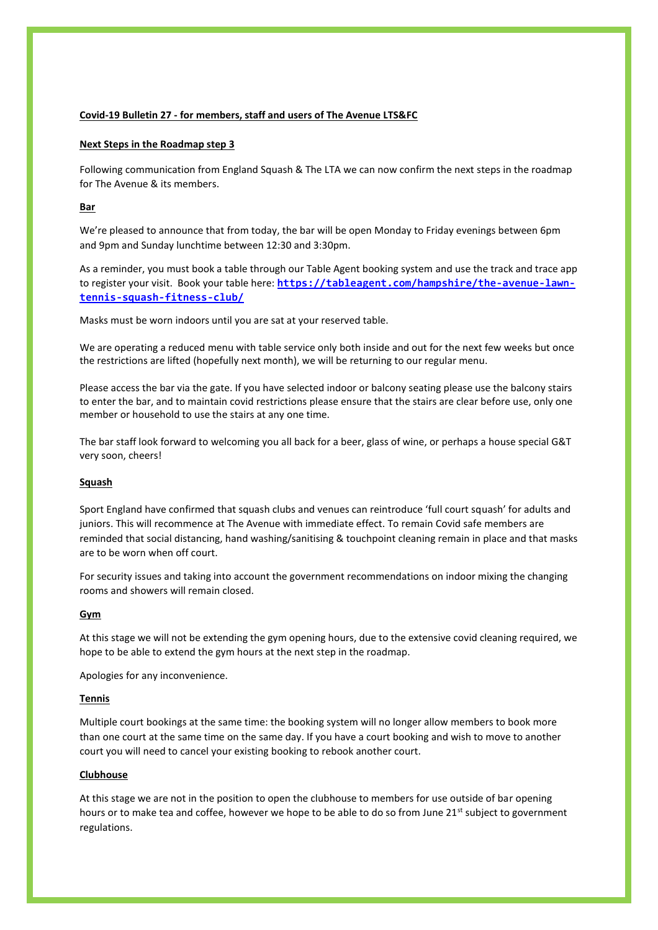# **Covid-19 Bulletin 27 - for members, staff and users of The Avenue LTS&FC**

## **Next Steps in the Roadmap step 3**

Following communication from England Squash & The LTA we can now confirm the next steps in the roadmap for The Avenue & its members.

## **Bar**

We're pleased to announce that from today, the bar will be open Monday to Friday evenings between 6pm and 9pm and Sunday lunchtime between 12:30 and 3:30pm.

As a reminder, you must book a table through our Table Agent booking system and use the track and trace app to register your visit. Book your table here: **[https://tableagent.com/hampshire/the-avenue-lawn](https://tableagent.com/hampshire/the-avenue-lawn-tennis-squash-fitness-club/)[tennis-squash-fitness-club/](https://tableagent.com/hampshire/the-avenue-lawn-tennis-squash-fitness-club/)**

Masks must be worn indoors until you are sat at your reserved table.

We are operating a reduced menu with table service only both inside and out for the next few weeks but once the restrictions are lifted (hopefully next month), we will be returning to our regular menu.

Please access the bar via the gate. If you have selected indoor or balcony seating please use the balcony stairs to enter the bar, and to maintain covid restrictions please ensure that the stairs are clear before use, only one member or household to use the stairs at any one time.

The bar staff look forward to welcoming you all back for a beer, glass of wine, or perhaps a house special G&T very soon, cheers!

### **Squash**

Sport England have confirmed that squash clubs and venues can reintroduce 'full court squash' for adults and juniors. This will recommence at The Avenue with immediate effect. To remain Covid safe members are reminded that social distancing, hand washing/sanitising & touchpoint cleaning remain in place and that masks are to be worn when off court.

For security issues and taking into account the government recommendations on indoor mixing the changing rooms and showers will remain closed.

#### **Gym**

At this stage we will not be extending the gym opening hours, due to the extensive covid cleaning required, we hope to be able to extend the gym hours at the next step in the roadmap.

Apologies for any inconvenience.

### **Tennis**

Multiple court bookings at the same time: the booking system will no longer allow members to book more than one court at the same time on the same day. If you have a court booking and wish to move to another court you will need to cancel your existing booking to rebook another court.

## **Clubhouse**

At this stage we are not in the position to open the clubhouse to members for use outside of bar opening hours or to make tea and coffee, however we hope to be able to do so from June 21st subject to government regulations.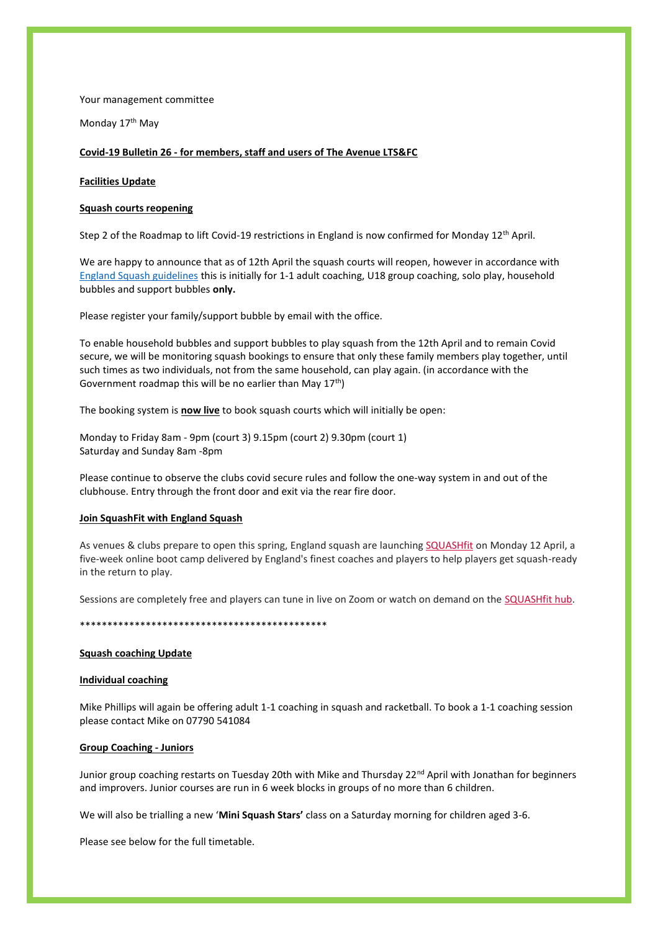Your management committee

Monday 17<sup>th</sup> May

## **Covid-19 Bulletin 26 - for members, staff and users of The Avenue LTS&FC**

### **Facilities Update**

#### **Squash courts reopening**

Step 2 of the Roadmap to lift Covid-19 restrictions in England is now confirmed for Monday 12th April.

We are happy to announce that as of 12th April the squash courts will reopen, however in accordance with [England Squash guidelines](https://www.englandsquash.com/back-to-squash/guidance) this is initially for 1-1 adult coaching, U18 group coaching, solo play, household bubbles and support bubbles **only.**

Please register your family/support bubble by email with the office.

To enable household bubbles and support bubbles to play squash from the 12th April and to remain Covid secure, we will be monitoring squash bookings to ensure that only these family members play together, until such times as two individuals, not from the same household, can play again. (in accordance with the Government roadmap this will be no earlier than May  $17<sup>th</sup>$ )

The booking system is **now live** to book squash courts which will initially be open:

Monday to Friday 8am - 9pm (court 3) 9.15pm (court 2) 9.30pm (court 1) Saturday and Sunday 8am -8pm

Please continue to observe the clubs covid secure rules and follow the one-way system in and out of the clubhouse. Entry through the front door and exit via the rear fire door.

### **Join SquashFit with England Squash**

As venues & clubs prepare to open this spring, England squash are launching [SQUASHfit](https://englandsquash.us13.list-manage.com/track/click?u=a958dc3a23ebb480978b509e3&id=a89b1e8591&e=4e612e63e1) on Monday 12 April, a five-week online boot camp delivered by England's finest coaches and players to help players get squash-ready in the return to play.

Sessions are completely free and players can tune in live on Zoom or watch on demand on the [SQUASHfit hub.](https://englandsquash.us13.list-manage.com/track/click?u=a958dc3a23ebb480978b509e3&id=ef130065f6&e=4e612e63e1)

#### \*\*\*\*\*\*\*\*\*\*\*\*\*\*\*\*\*\*\*\*\*\*\*\*\*\*\*\*\*\*\*\*\*\*\*\*\*\*\*\*\*\*\*\*\*

#### **Squash coaching Update**

## **Individual coaching**

Mike Phillips will again be offering adult 1-1 coaching in squash and racketball. To book a 1-1 coaching session please contact Mike on 07790 541084

#### **Group Coaching - Juniors**

Junior group coaching restarts on Tuesday 20th with Mike and Thursday 22<sup>nd</sup> April with Jonathan for beginners and improvers. Junior courses are run in 6 week blocks in groups of no more than 6 children.

We will also be trialling a new '**Mini Squash Stars'** class on a Saturday morning for children aged 3-6.

Please see below for the full timetable.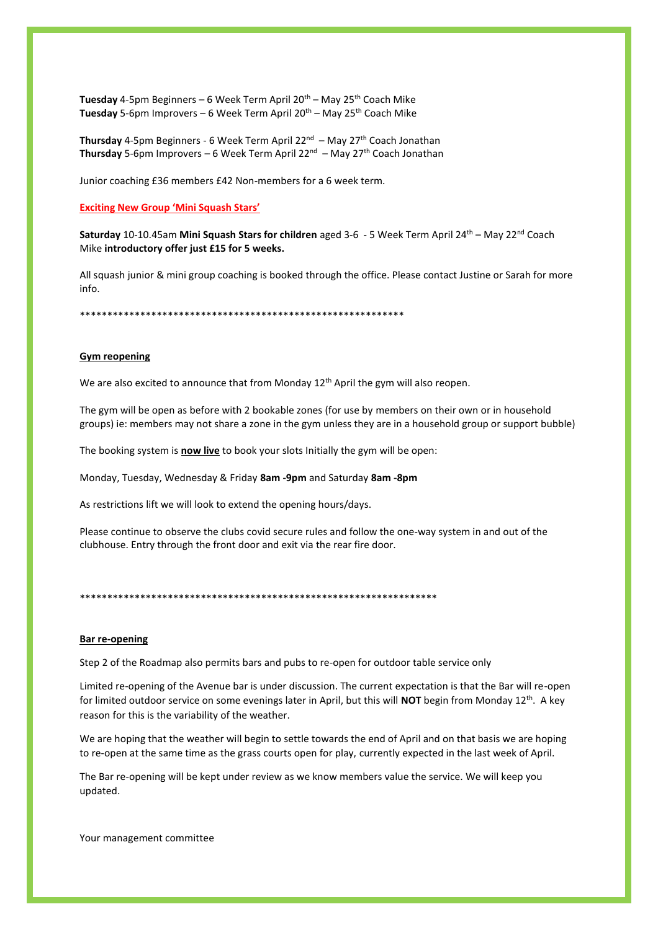Tuesday 4-5pm Beginners – 6 Week Term April 20<sup>th</sup> – May 25<sup>th</sup> Coach Mike Tuesday 5-6pm Improvers – 6 Week Term April 20<sup>th</sup> – May 25<sup>th</sup> Coach Mike

**Thursday** 4-5pm Beginners - 6 Week Term April 22<sup>nd</sup> — May 27<sup>th</sup> Coach Jonathan **Thursday** 5-6pm Improvers – 6 Week Term April 22nd – May 27th Coach Jonathan

Junior coaching £36 members £42 Non-members for a 6 week term.

**Exciting New Group 'Mini Squash Stars'**

Saturday 10-10.45am Mini Squash Stars for children aged 3-6 - 5 Week Term April 24<sup>th</sup> – May 22<sup>nd</sup> Coach Mike **introductory offer just £15 for 5 weeks.**

All squash junior & mini group coaching is booked through the office. Please contact Justine or Sarah for more info.

\*\*\*\*\*\*\*\*\*\*\*\*\*\*\*\*\*\*\*\*\*\*\*\*\*\*\*\*\*\*\*\*\*\*\*\*\*\*\*\*\*\*\*\*\*\*\*\*\*\*\*\*\*\*\*\*\*\*\*

## **Gym reopening**

We are also excited to announce that from Monday 12<sup>th</sup> April the gym will also reopen.

The gym will be open as before with 2 bookable zones (for use by members on their own or in household groups) ie: members may not share a zone in the gym unless they are in a household group or support bubble)

The booking system is **now live** to book your slots Initially the gym will be open:

Monday, Tuesday, Wednesday & Friday **8am -9pm** and Saturday **8am -8pm**

As restrictions lift we will look to extend the opening hours/days.

Please continue to observe the clubs covid secure rules and follow the one-way system in and out of the clubhouse. Entry through the front door and exit via the rear fire door.

\*\*\*\*\*\*\*\*\*\*\*\*\*\*\*\*\*\*\*\*\*\*\*\*\*\*\*\*\*\*\*\*\*\*\*\*\*\*\*\*\*\*\*\*\*\*\*\*\*\*\*\*\*\*\*\*\*\*\*\*\*\*\*\*\*

## **Bar re-opening**

Step 2 of the Roadmap also permits bars and pubs to re-open for outdoor table service only

Limited re-opening of the Avenue bar is under discussion. The current expectation is that the Bar will re-open for limited outdoor service on some evenings later in April, but this will **NOT** begin from Monday 12th . A key reason for this is the variability of the weather.

We are hoping that the weather will begin to settle towards the end of April and on that basis we are hoping to re-open at the same time as the grass courts open for play, currently expected in the last week of April.

The Bar re-opening will be kept under review as we know members value the service. We will keep you updated.

Your management committee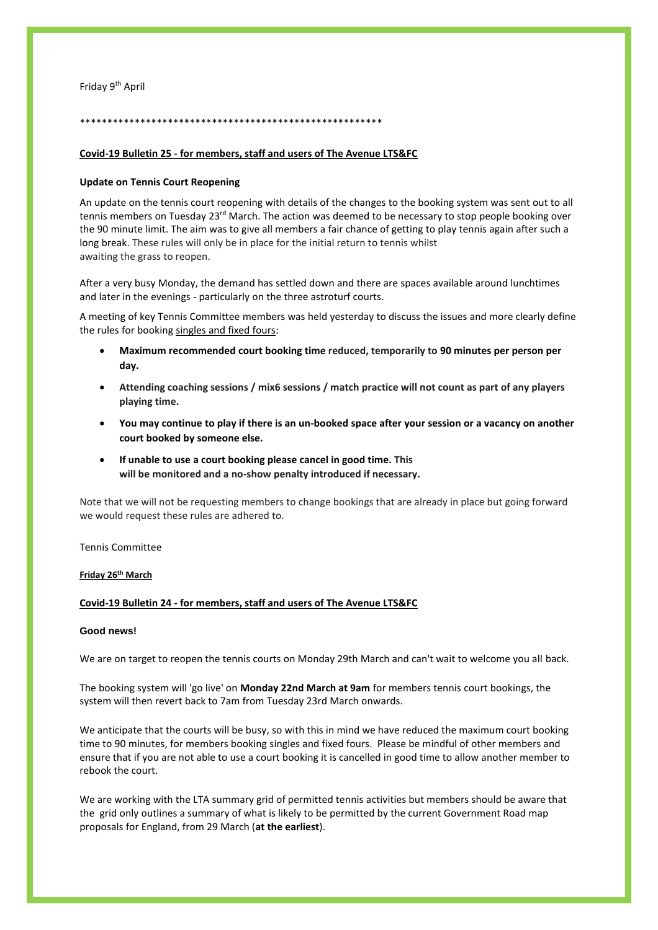## Friday 9th April

# \*\*\*\*\*\*\*\*\*\*\*\*\*\*\*\*\*\*\*\*\*\*\*\*\*\*\*\*\*\*\*\*\*\*\*\*\*\*\*\*\*\*\*\*\*\*\*\*\*\*\*\*\*\*\*

# **Covid-19 Bulletin 25 - for members, staff and users of The Avenue LTS&FC**

## **Update on Tennis Court Reopening**

An update on the tennis court reopening with details of the changes to the booking system was sent out to all tennis members on Tuesday 23<sup>rd</sup> March. The action was deemed to be necessary to stop people booking over the 90 minute limit. The aim was to give all members a fair chance of getting to play tennis again after such a long break. These rules will only be in place for the initial return to tennis whilst awaiting the grass to reopen.

After a very busy Monday, the demand has settled down and there are spaces available around lunchtimes and later in the evenings - particularly on the three astroturf courts.

A meeting of key Tennis Committee members was held yesterday to discuss the issues and more clearly define the rules for booking singles and fixed fours:

- **Maximum recommended court booking time reduced, temporarily to 90 minutes per person per day.**
- **Attending coaching sessions / mix6 sessions / match practice will not count as part of any players playing time.**
- You may continue to play if there is an un-booked space after your session or a vacancy on another **court booked by someone else.**
- **If unable to use a court booking please cancel in good time. This will be monitored and a no-show penalty introduced if necessary.**

Note that we will not be requesting members to change bookings that are already in place but going forward we would request these rules are adhered to.

#### Tennis Committee

#### **Friday 26th March**

## **Covid-19 Bulletin 24 - for members, staff and users of The Avenue LTS&FC**

### **Good news!**

We are on target to reopen the tennis courts on Monday 29th March and can't wait to welcome you all back.

The booking system will 'go live' on **Monday 22nd March at 9am** for members tennis court bookings, the system will then revert back to 7am from Tuesday 23rd March onwards.

We anticipate that the courts will be busy, so with this in mind we have reduced the maximum court booking time to 90 minutes, for members booking singles and fixed fours. Please be mindful of other members and ensure that if you are not able to use a court booking it is cancelled in good time to allow another member to rebook the court.

We are working with the LTA summary grid of permitted tennis activities but members should be aware that the grid only outlines a summary of what is likely to be permitted by the current Government Road map proposals for England, from 29 March (**at the earliest**).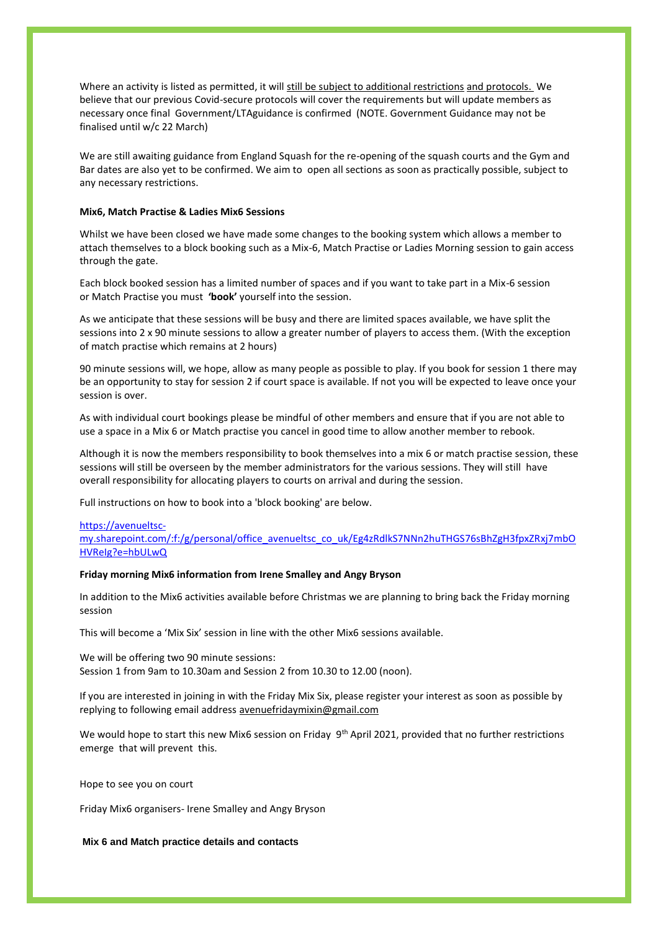Where an activity is listed as permitted, it will still be subject to additional restrictions and protocols. We believe that our previous Covid-secure protocols will cover the requirements but will update members as necessary once final Government/LTAguidance is confirmed (NOTE. Government Guidance may not be finalised until w/c 22 March)

We are still awaiting guidance from England Squash for the re-opening of the squash courts and the Gym and Bar dates are also yet to be confirmed. We aim to open all sections as soon as practically possible, subject to any necessary restrictions.

## **Mix6, Match Practise & Ladies Mix6 Sessions**

Whilst we have been closed we have made some changes to the booking system which allows a member to attach themselves to a block booking such as a Mix-6, Match Practise or Ladies Morning session to gain access through the gate.

Each block booked session has a limited number of spaces and if you want to take part in a Mix-6 session or Match Practise you must **'book'** yourself into the session.

As we anticipate that these sessions will be busy and there are limited spaces available, we have split the sessions into 2 x 90 minute sessions to allow a greater number of players to access them. (With the exception of match practise which remains at 2 hours)

90 minute sessions will, we hope, allow as many people as possible to play. If you book for session 1 there may be an opportunity to stay for session 2 if court space is available. If not you will be expected to leave once your session is over.

As with individual court bookings please be mindful of other members and ensure that if you are not able to use a space in a Mix 6 or Match practise you cancel in good time to allow another member to rebook.

Although it is now the members responsibility to book themselves into a mix 6 or match practise session, these sessions will still be overseen by the member administrators for the various sessions. They will still have overall responsibility for allocating players to courts on arrival and during the session.

Full instructions on how to book into a 'block booking' are below.

#### [https://avenueltsc-](https://avenueltsc-my.sharepoint.com/:f:/g/personal/office_avenueltsc_co_uk/Eg4zRdlkS7NNn2huTHGS76sBhZgH3fpxZRxj7mbOHVReIg?e=hbULwQ)

[my.sharepoint.com/:f:/g/personal/office\\_avenueltsc\\_co\\_uk/Eg4zRdlkS7NNn2huTHGS76sBhZgH3fpxZRxj7mbO](https://avenueltsc-my.sharepoint.com/:f:/g/personal/office_avenueltsc_co_uk/Eg4zRdlkS7NNn2huTHGS76sBhZgH3fpxZRxj7mbOHVReIg?e=hbULwQ) [HVReIg?e=hbULwQ](https://avenueltsc-my.sharepoint.com/:f:/g/personal/office_avenueltsc_co_uk/Eg4zRdlkS7NNn2huTHGS76sBhZgH3fpxZRxj7mbOHVReIg?e=hbULwQ)

### **Friday morning Mix6 information from Irene Smalley and Angy Bryson**

In addition to the Mix6 activities available before Christmas we are planning to bring back the Friday morning session

This will become a 'Mix Six' session in line with the other Mix6 sessions available.

We will be offering two 90 minute sessions: Session 1 from 9am to 10.30am and Session 2 from 10.30 to 12.00 (noon).

If you are interested in joining in with the Friday Mix Six, please register your interest as soon as possible by replying to following email address avenuefridaymixin@gmail.com

We would hope to start this new Mix6 session on Friday 9<sup>th</sup> April 2021, provided that no further restrictions emerge that will prevent this.

Hope to see you on court

Friday Mix6 organisers- Irene Smalley and Angy Bryson

### **Mix 6 and Match practice details and contacts**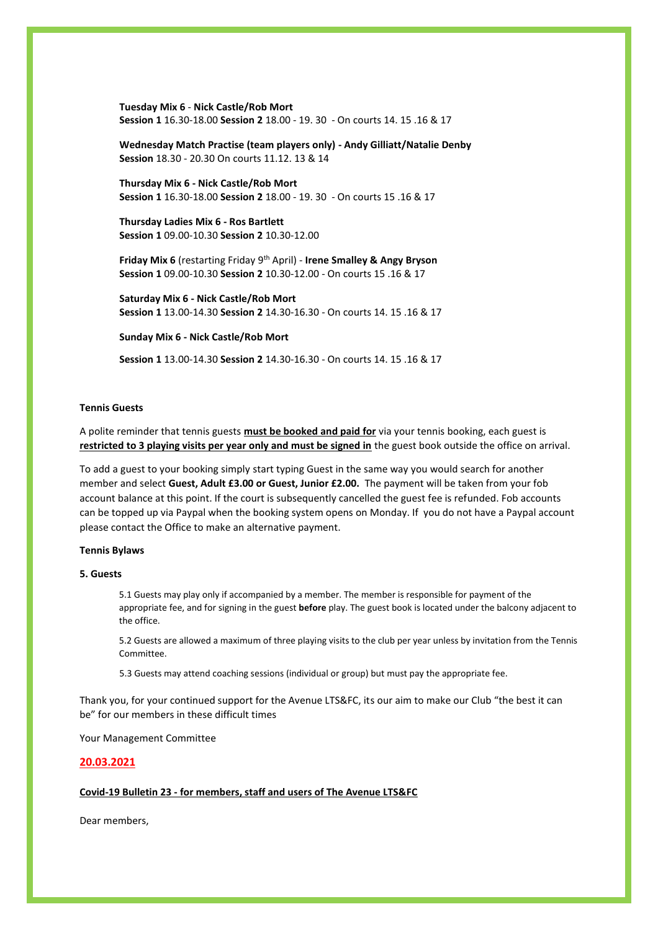**Tuesday Mix 6** - **Nick Castle/Rob Mort Session 1** 16.30-18.00 **Session 2** 18.00 - 19. 30 - On courts 14. 15 .16 & 17

**Wednesday Match Practise (team players only) - Andy Gilliatt/Natalie Denby Session** 18.30 - 20.30 On courts 11.12. 13 & 14

**Thursday Mix 6 - Nick Castle/Rob Mort Session 1** 16.30-18.00 **Session 2** 18.00 - 19. 30 - On courts 15 .16 & 17

## **Thursday Ladies Mix 6 - Ros Bartlett Session 1** 09.00-10.30 **Session 2** 10.30-12.00

**Friday Mix 6** (restarting Friday 9th April) - **Irene Smalley & Angy Bryson Session 1** 09.00-10.30 **Session 2** 10.30-12.00 - On courts 15 .16 & 17

**Saturday Mix 6 - Nick Castle/Rob Mort Session 1** 13.00-14.30 **Session 2** 14.30-16.30 - On courts 14. 15 .16 & 17

**Sunday Mix 6 - Nick Castle/Rob Mort**

**Session 1** 13.00-14.30 **Session 2** 14.30-16.30 - On courts 14. 15 .16 & 17

## **Tennis Guests**

A polite reminder that tennis guests **must be booked and paid for** via your tennis booking, each guest is **restricted to 3 playing visits per year only and must be signed in** the guest book outside the office on arrival.

To add a guest to your booking simply start typing Guest in the same way you would search for another member and select **Guest, Adult £3.00 or Guest, Junior £2.00.** The payment will be taken from your fob account balance at this point. If the court is subsequently cancelled the guest fee is refunded. Fob accounts can be topped up via Paypal when the booking system opens on Monday. If you do not have a Paypal account please contact the Office to make an alternative payment.

#### **Tennis Bylaws**

#### **5. Guests**

5.1 Guests may play only if accompanied by a member. The member is responsible for payment of the appropriate fee, and for signing in the guest **before** play. The guest book is located under the balcony adjacent to the office.

5.2 Guests are allowed a maximum of three playing visits to the club per year unless by invitation from the Tennis Committee.

5.3 Guests may attend coaching sessions (individual or group) but must pay the appropriate fee.

Thank you, for your continued support for the Avenue LTS&FC, its our aim to make our Club "the best it can be" for our members in these difficult times

Your Management Committee

### **20.03.2021**

## **Covid-19 Bulletin 23 - for members, staff and users of The Avenue LTS&FC**

Dear members,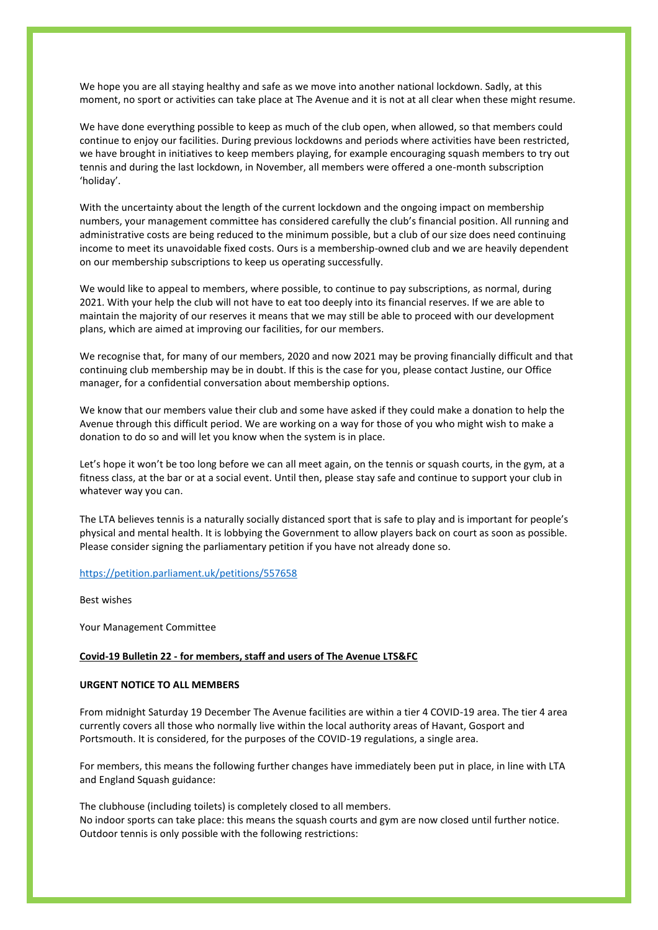We hope you are all staying healthy and safe as we move into another national lockdown. Sadly, at this moment, no sport or activities can take place at The Avenue and it is not at all clear when these might resume.

We have done everything possible to keep as much of the club open, when allowed, so that members could continue to enjoy our facilities. During previous lockdowns and periods where activities have been restricted, we have brought in initiatives to keep members playing, for example encouraging squash members to try out tennis and during the last lockdown, in November, all members were offered a one-month subscription 'holiday'.

With the uncertainty about the length of the current lockdown and the ongoing impact on membership numbers, your management committee has considered carefully the club's financial position. All running and administrative costs are being reduced to the minimum possible, but a club of our size does need continuing income to meet its unavoidable fixed costs. Ours is a membership-owned club and we are heavily dependent on our membership subscriptions to keep us operating successfully.

We would like to appeal to members, where possible, to continue to pay subscriptions, as normal, during 2021. With your help the club will not have to eat too deeply into its financial reserves. If we are able to maintain the majority of our reserves it means that we may still be able to proceed with our development plans, which are aimed at improving our facilities, for our members.

We recognise that, for many of our members, 2020 and now 2021 may be proving financially difficult and that continuing club membership may be in doubt. If this is the case for you, please contact Justine, our Office manager, for a confidential conversation about membership options.

We know that our members value their club and some have asked if they could make a donation to help the Avenue through this difficult period. We are working on a way for those of you who might wish to make a donation to do so and will let you know when the system is in place.

Let's hope it won't be too long before we can all meet again, on the tennis or squash courts, in the gym, at a fitness class, at the bar or at a social event. Until then, please stay safe and continue to support your club in whatever way you can.

The LTA believes tennis is a naturally socially distanced sport that is safe to play and is important for people's physical and mental health. It is lobbying the Government to allow players back on court as soon as possible. Please consider signing the parliamentary petition if you have not already done so.

## <https://petition.parliament.uk/petitions/557658>

Best wishes

Your Management Committee

#### **Covid-19 Bulletin 22 - for members, staff and users of The Avenue LTS&FC**

## **URGENT NOTICE TO ALL MEMBERS**

From midnight Saturday 19 December The Avenue facilities are within a tier 4 COVID-19 area. The tier 4 area currently covers all those who normally live within the local authority areas of Havant, Gosport and Portsmouth. It is considered, for the purposes of the COVID-19 regulations, a single area.

For members, this means the following further changes have immediately been put in place, in line with LTA and England Squash guidance:

The clubhouse (including toilets) is completely closed to all members. No indoor sports can take place: this means the squash courts and gym are now closed until further notice. Outdoor tennis is only possible with the following restrictions: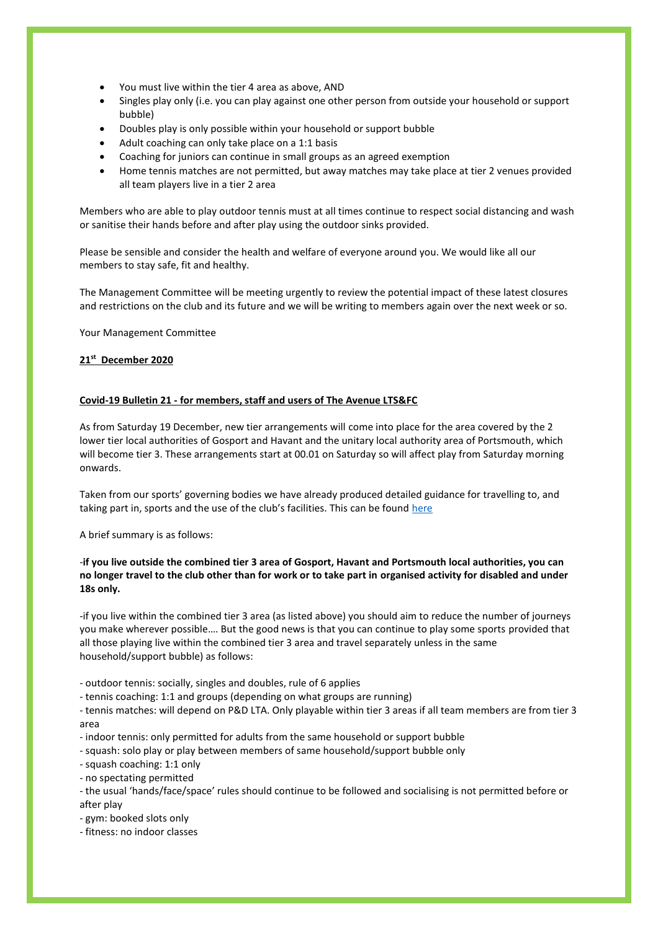- You must live within the tier 4 area as above, AND
- Singles play only (i.e. you can play against one other person from outside your household or support bubble)
- Doubles play is only possible within your household or support bubble
- Adult coaching can only take place on a 1:1 basis
- Coaching for juniors can continue in small groups as an agreed exemption
- Home tennis matches are not permitted, but away matches may take place at tier 2 venues provided all team players live in a tier 2 area

Members who are able to play outdoor tennis must at all times continue to respect social distancing and wash or sanitise their hands before and after play using the outdoor sinks provided.

Please be sensible and consider the health and welfare of everyone around you. We would like all our members to stay safe, fit and healthy.

The Management Committee will be meeting urgently to review the potential impact of these latest closures and restrictions on the club and its future and we will be writing to members again over the next week or so.

Your Management Committee

# **21st December 2020**

# **Covid-19 Bulletin 21 - for members, staff and users of The Avenue LTS&FC**

As from Saturday 19 December, new tier arrangements will come into place for the area covered by the 2 lower tier local authorities of Gosport and Havant and the unitary local authority area of Portsmouth, which will become tier 3. These arrangements start at 00.01 on Saturday so will affect play from Saturday morning onwards.

Taken from our sports' governing bodies we have already produced detailed guidance for travelling to, and taking part in, sports and the use of the club's facilities. This can be found [here](https://avenueltsc.co.uk/wp-content/uploads/2020/12/AvenueLTSFC-Essential-Tiers-Guidance.pdf)

A brief summary is as follows:

# -**if you live outside the combined tier 3 area of Gosport, Havant and Portsmouth local authorities, you can no longer travel to the club other than for work or to take part in organised activity for disabled and under 18s only.**

-if you live within the combined tier 3 area (as listed above) you should aim to reduce the number of journeys you make wherever possible…. But the good news is that you can continue to play some sports provided that all those playing live within the combined tier 3 area and travel separately unless in the same household/support bubble) as follows:

- outdoor tennis: socially, singles and doubles, rule of 6 applies
- tennis coaching: 1:1 and groups (depending on what groups are running)

- tennis matches: will depend on P&D LTA. Only playable within tier 3 areas if all team members are from tier 3 area

- indoor tennis: only permitted for adults from the same household or support bubble
- squash: solo play or play between members of same household/support bubble only

- squash coaching: 1:1 only

- no spectating permitted

- the usual 'hands/face/space' rules should continue to be followed and socialising is not permitted before or after play

- gym: booked slots only

- fitness: no indoor classes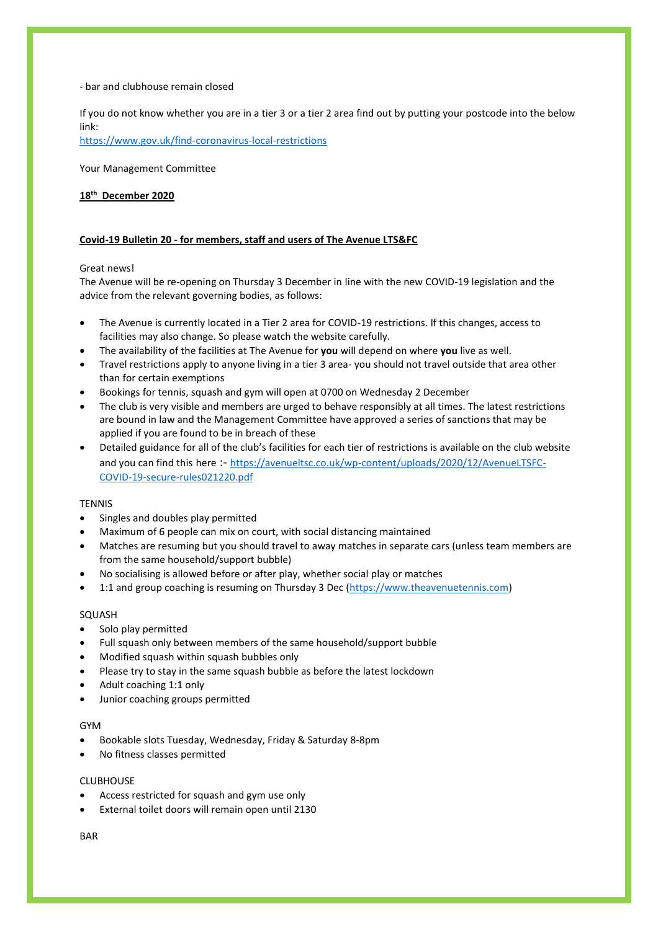### - bar and clubhouse remain closed

If you do not know whether you are in a tier 3 or a tier 2 area find out by putting your postcode into the below link:

<https://www.gov.uk/find-coronavirus-local-restrictions>

Your Management Committee

# **18th December 2020**

# **Covid-19 Bulletin 20 - for members, staff and users of The Avenue LTS&FC**

# Great news!

The Avenue will be re-opening on Thursday 3 December in line with the new COVID-19 legislation and the advice from the relevant governing bodies, as follows:

- The Avenue is currently located in a Tier 2 area for COVID-19 restrictions. If this changes, access to facilities may also change. So please watch the website carefully.
- The availability of the facilities at The Avenue for **you** will depend on where **you** live as well.
- Travel restrictions apply to anyone living in a tier 3 area- you should not travel outside that area other than for certain exemptions
- Bookings for tennis, squash and gym will open at 0700 on Wednesday 2 December
- The club is very visible and members are urged to behave responsibly at all times. The latest restrictions are bound in law and the Management Committee have approved a series of sanctions that may be applied if you are found to be in breach of these
- Detailed guidance for all of the club's facilities for each tier of restrictions is available on the club website and you can find this here :- [https://avenueltsc.co.uk/wp-content/uploads/2020/12/AvenueLTSFC-](https://avenueltsc.co.uk/wp-content/uploads/2020/12/AvenueLTSFC-COVID-19-secure-rules021220.pdf)[COVID-19-secure-rules021220.pdf](https://avenueltsc.co.uk/wp-content/uploads/2020/12/AvenueLTSFC-COVID-19-secure-rules021220.pdf)

# **TENNIS**

- Singles and doubles play permitted
- Maximum of 6 people can mix on court, with social distancing maintained
- Matches are resuming but you should travel to away matches in separate cars (unless team members are from the same household/support bubble)
- No socialising is allowed before or after play, whether social play or matches
- 1:1 and group coaching is resuming on Thursday 3 Dec [\(https://www.theavenuetennis.com\)](https://www.theavenuetennis.com/)

# SQUASH

- Solo play permitted
- Full squash only between members of the same household/support bubble
- Modified squash within squash bubbles only
- Please try to stay in the same squash bubble as before the latest lockdown
- Adult coaching 1:1 only
- Junior coaching groups permitted

# GYM

- Bookable slots Tuesday, Wednesday, Friday & Saturday 8-8pm
- No fitness classes permitted

# CLUBHOUSE

- Access restricted for squash and gym use only
- External toilet doors will remain open until 2130

# **BAR**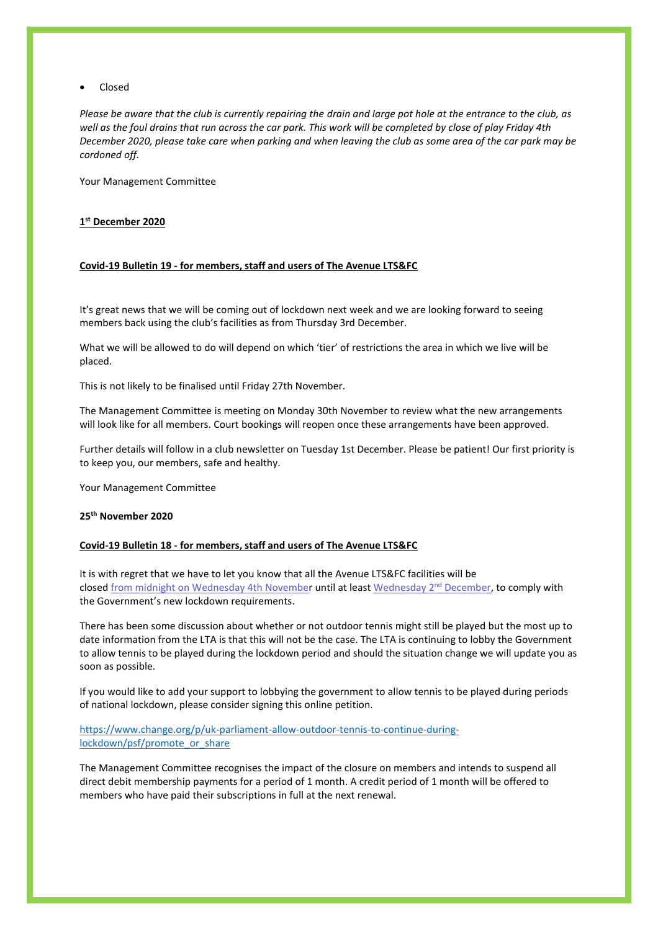• Closed

*Please be aware that the club is currently repairing the drain and large pot hole at the entrance to the club, as well as the foul drains that run across the car park. This work will be completed by close of play Friday 4th December 2020, please take care when parking and when leaving the club as some area of the car park may be cordoned off.*

Your Management Committee

# **1 st December 2020**

### **Covid-19 Bulletin 19 - for members, staff and users of The Avenue LTS&FC**

It's great news that we will be coming out of lockdown next week and we are looking forward to seeing members back using the club's facilities as from Thursday 3rd December.

What we will be allowed to do will depend on which 'tier' of restrictions the area in which we live will be placed.

This is not likely to be finalised until Friday 27th November.

The Management Committee is meeting on Monday 30th November to review what the new arrangements will look like for all members. Court bookings will reopen once these arrangements have been approved.

Further details will follow in a club newsletter on Tuesday 1st December. Please be patient! Our first priority is to keep you, our members, safe and healthy.

Your Management Committee

## **25th November 2020**

### **Covid-19 Bulletin 18 - for members, staff and users of The Avenue LTS&FC**

It is with regret that we have to let you know that all the Avenue LTS&FC facilities will be closed [from](x-apple-data-detectors://3/) [midnight](x-apple-data-detectors://3/) [on Wednesday 4th November](x-apple-data-detectors://3/) until at least Wednesday  $2<sup>nd</sup>$  $2<sup>nd</sup>$  $2<sup>nd</sup>$  [December,](x-apple-data-detectors://4/) to comply with the Government's new lockdown requirements.

There has been some discussion about whether or not outdoor tennis might still be played but the most up to date information from the LTA is that this will not be the case. The LTA is continuing to lobby the Government to allow tennis to be played during the lockdown period and should the situation change we will update you as soon as possible.

If you would like to add your support to lobbying the government to allow tennis to be played during periods of national lockdown, please consider signing this online petition.

# [https://www.change.org/p/uk-parliament-allow-outdoor-tennis-to-continue-during](https://www.change.org/p/uk-parliament-allow-outdoor-tennis-to-continue-during-lockdown/psf/promote_or_share)[lockdown/psf/promote\\_or\\_share](https://www.change.org/p/uk-parliament-allow-outdoor-tennis-to-continue-during-lockdown/psf/promote_or_share)

The Management Committee recognises the impact of the closure on members and intends to suspend all direct debit membership payments for a period of 1 month. A credit period of 1 month will be offered to members who have paid their subscriptions in full at the next renewal.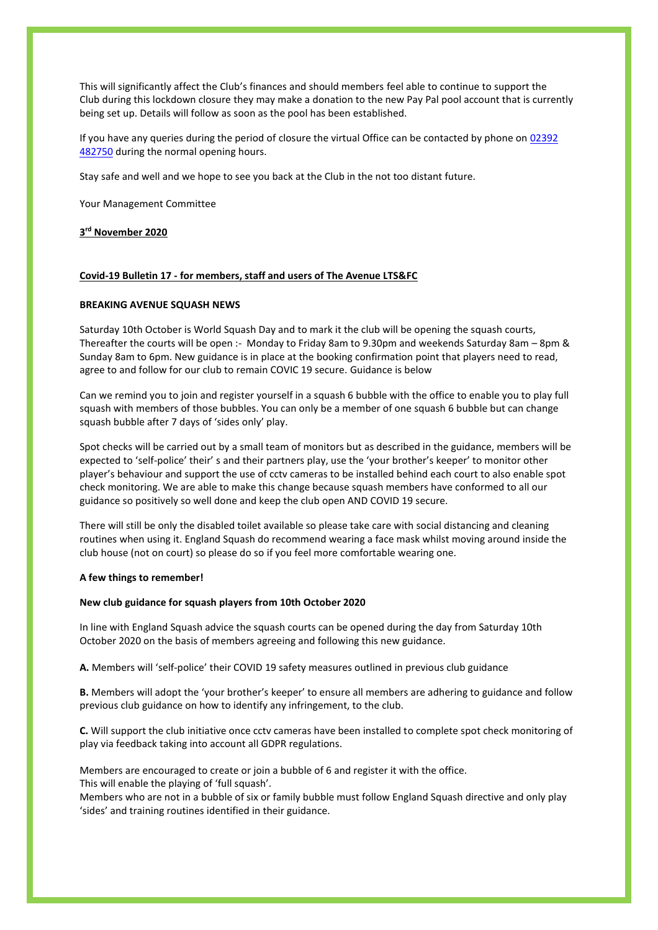This will significantly affect the Club's finances and should members feel able to continue to support the Club during this lockdown closure they may make a donation to the new Pay Pal pool account that is currently being set up. Details will follow as soon as the pool has been established.

If you have any queries during the period of closure the virtual Office can be contacted by phone on 02392 [482750](tel:02392%20482750) during the normal opening hours.

Stay safe and well and we hope to see you back at the Club in the not too distant future.

Your Management Committee

## **3 rd November 2020**

### **Covid-19 Bulletin 17 - for members, staff and users of The Avenue LTS&FC**

#### **BREAKING AVENUE SQUASH NEWS**

Saturday 10th October is World Squash Day and to mark it the club will be opening the squash courts, Thereafter the courts will be open :- Monday to Friday 8am to 9.30pm and weekends Saturday 8am – 8pm & Sunday 8am to 6pm. New guidance is in place at the booking confirmation point that players need to read, agree to and follow for our club to remain COVIC 19 secure. Guidance is below

Can we remind you to join and register yourself in a squash 6 bubble with the office to enable you to play full squash with members of those bubbles. You can only be a member of one squash 6 bubble but can change squash bubble after 7 days of 'sides only' play.

Spot checks will be carried out by a small team of monitors but as described in the guidance, members will be expected to 'self-police' their' s and their partners play, use the 'your brother's keeper' to monitor other player's behaviour and support the use of cctv cameras to be installed behind each court to also enable spot check monitoring. We are able to make this change because squash members have conformed to all our guidance so positively so well done and keep the club open AND COVID 19 secure.

There will still be only the disabled toilet available so please take care with social distancing and cleaning routines when using it. England Squash do recommend wearing a face mask whilst moving around inside the club house (not on court) so please do so if you feel more comfortable wearing one.

#### **A few things to remember!**

#### **New club guidance for squash players from 10th October 2020**

In line with England Squash advice the squash courts can be opened during the day from Saturday 10th October 2020 on the basis of members agreeing and following this new guidance.

**A.** Members will 'self-police' their COVID 19 safety measures outlined in previous club guidance

**B.** Members will adopt the 'your brother's keeper' to ensure all members are adhering to guidance and follow previous club guidance on how to identify any infringement, to the club.

**C.** Will support the club initiative once cctv cameras have been installed to complete spot check monitoring of play via feedback taking into account all GDPR regulations.

Members are encouraged to create or join a bubble of 6 and register it with the office. This will enable the playing of 'full squash'.

Members who are not in a bubble of six or family bubble must follow England Squash directive and only play 'sides' and training routines identified in their guidance.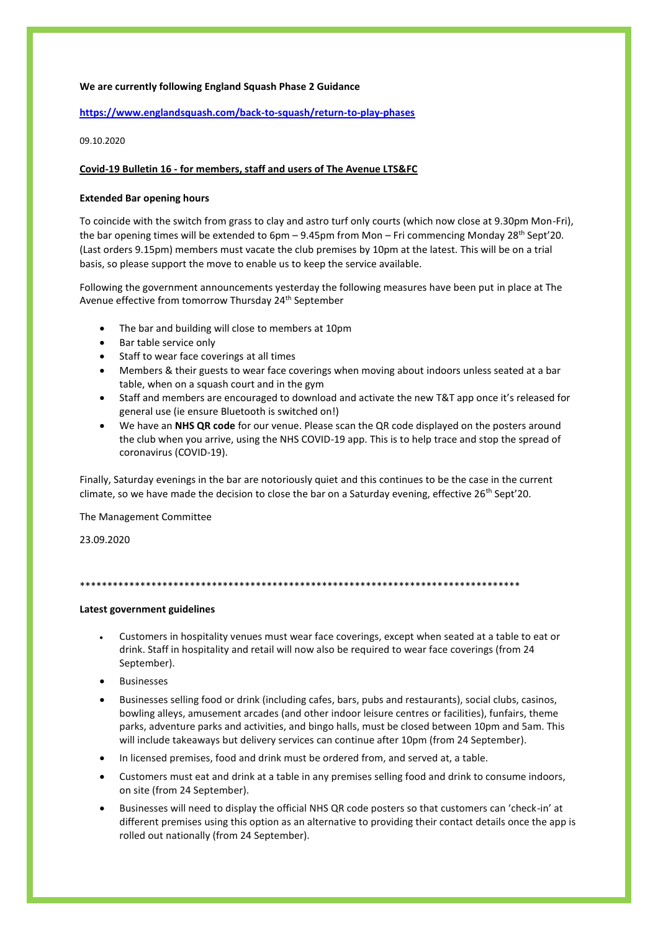# **We are currently following England Squash Phase 2 Guidance**

## **<https://www.englandsquash.com/back-to-squash/return-to-play-phases>**

09.10.2020

## **Covid-19 Bulletin 16 - for members, staff and users of The Avenue LTS&FC**

## **Extended Bar opening hours**

To coincide with the switch from grass to clay and astro turf only courts (which now close at 9.30pm Mon-Fri), the bar opening times will be extended to 6pm – 9.45pm from Mon – Fri commencing Monday 28<sup>th</sup> Sept'20. (Last orders 9.15pm) members must vacate the club premises by 10pm at the latest. This will be on a trial basis, so please support the move to enable us to keep the service available.

Following the government announcements yesterday the following measures have been put in place at The Avenue effective from tomorrow Thursday 24<sup>th</sup> September

- The bar and building will close to members at 10pm
- Bar table service only
- Staff to wear face coverings at all times
- Members & their guests to wear face coverings when moving about indoors unless seated at a bar table, when on a squash court and in the gym
- Staff and members are encouraged to download and activate the new T&T app once it's released for general use (ie ensure Bluetooth is switched on!)
- We have an **NHS QR code** for our venue. Please scan the QR code displayed on the posters around the club when you arrive, using the NHS COVID-19 app. This is to help trace and stop the spread of coronavirus (COVID-19).

Finally, Saturday evenings in the bar are notoriously quiet and this continues to be the case in the current climate, so we have made the decision to close the bar on a Saturday evening, effective 26<sup>th</sup> Sept'20.

The Management Committee

23.09.2020

\*\*\*\*\*\*\*\*\*\*\*\*\*\*\*\*\*\*\*\*\*\*\*\*\*\*\*\*\*\*\*\*\*\*\*\*\*\*\*\*\*\*\*\*\*\*\*\*\*\*\*\*\*\*\*\*\*\*\*\*\*\*\*\*\*\*\*\*\*\*\*\*\*\*\*\*\*\*\*\*

## **Latest government guidelines**

- Customers in hospitality venues must wear face coverings, except when seated at a table to eat or drink. Staff in hospitality and retail will now also be required to wear face coverings (from 24 September).
- **Businesses**
- Businesses selling food or drink (including cafes, bars, pubs and restaurants), social clubs, casinos, bowling alleys, amusement arcades (and other indoor leisure centres or facilities), funfairs, theme parks, adventure parks and activities, and bingo halls, must be closed between 10pm and 5am. This will include takeaways but delivery services can continue after 10pm (from 24 September).
- In licensed premises, food and drink must be ordered from, and served at, a table.
- Customers must eat and drink at a table in any premises selling food and drink to consume indoors, on site (from 24 September).
- Businesses will need to display the official NHS QR code posters so that customers can 'check-in' at different premises using this option as an alternative to providing their contact details once the app is rolled out nationally (from 24 September).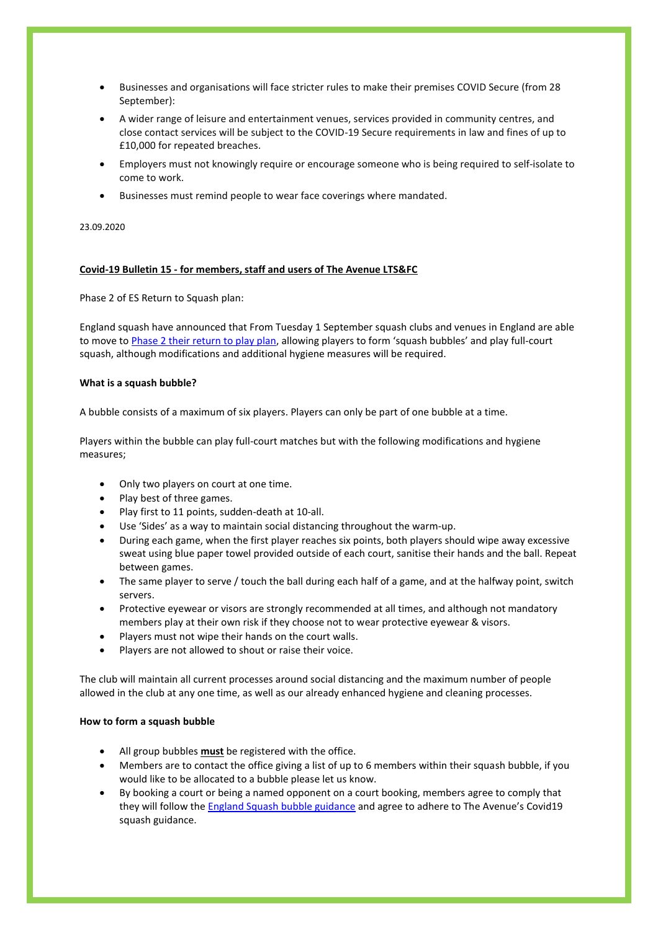- Businesses and organisations will face stricter rules to make their premises COVID Secure (from 28 September):
- A wider range of leisure and entertainment venues, services provided in community centres, and close contact services will be subject to the COVID-19 Secure requirements in law and fines of up to £10,000 for repeated breaches.
- Employers must not knowingly require or encourage someone who is being required to self-isolate to come to work.
- Businesses must remind people to wear face coverings where mandated.

#### 23.09.2020

# **Covid-19 Bulletin 15 - for members, staff and users of The Avenue LTS&FC**

Phase 2 of ES Return to Squash plan:

England squash have announced that From Tuesday 1 September squash clubs and venues in England are able to move to [Phase 2 their return to play plan,](https://www.englandsquash.com/back-to-squash/return-to-play-phases) allowing players to form 'squash bubbles' and play full-court squash, although modifications and additional hygiene measures will be required.

### **What is a squash bubble?**

A bubble consists of a maximum of six players. Players can only be part of one bubble at a time.

Players within the bubble can play full-court matches but with the following modifications and hygiene measures;

- Only two players on court at one time.
- Play best of three games.
- Play first to 11 points, sudden-death at 10-all.
- Use 'Sides' as a way to maintain social distancing throughout the warm-up.
- During each game, when the first player reaches six points, both players should wipe away excessive sweat using blue paper towel provided outside of each court, sanitise their hands and the ball. Repeat between games.
- The same player to serve / touch the ball during each half of a game, and at the halfway point, switch servers.
- Protective eyewear or visors are strongly recommended at all times, and although not mandatory members play at their own risk if they choose not to wear protective eyewear & visors.
- Players must not wipe their hands on the court walls.
- Players are not allowed to shout or raise their voice.

The club will maintain all current processes around social distancing and the maximum number of people allowed in the club at any one time, as well as our already enhanced hygiene and cleaning processes.

### **How to form a squash bubble**

- All group bubbles **must** be registered with the office.
- Members are to contact the office giving a list of up to 6 members within their squash bubble, if you would like to be allocated to a bubble please let us know.
- By booking a court or being a named opponent on a court booking, members agree to comply that they will follow the [England Squash bubble guidance](https://www.englandsquash.com/back-to-squash/guidance-for-players) and agree to adhere to The Avenue's Covid19 squash guidance.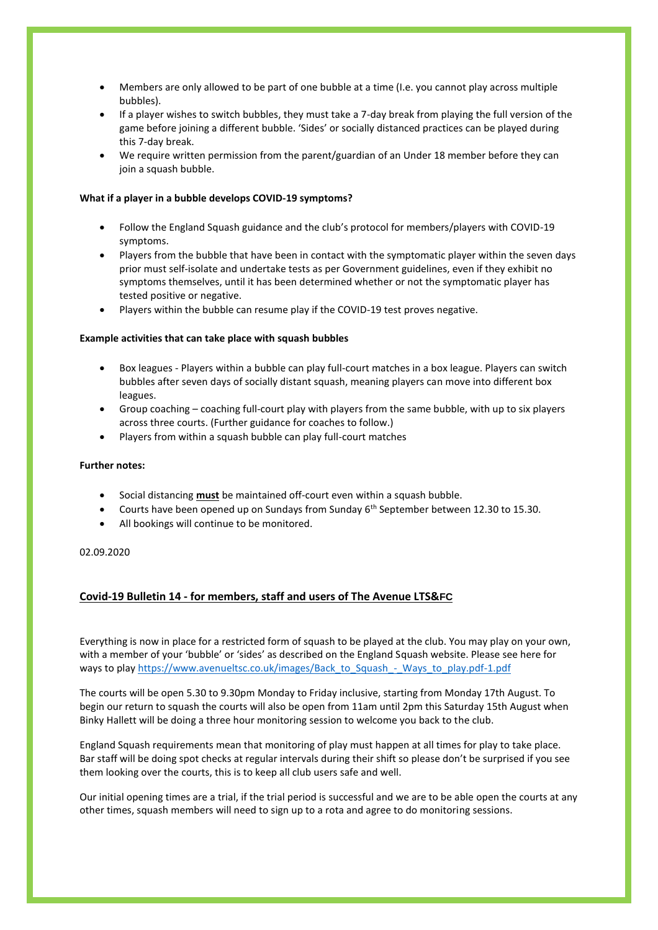- Members are only allowed to be part of one bubble at a time (I.e. you cannot play across multiple bubbles).
- If a player wishes to switch bubbles, they must take a 7-day break from playing the full version of the game before joining a different bubble. 'Sides' or socially distanced practices can be played during this 7-day break.
- We require written permission from the parent/guardian of an Under 18 member before they can join a squash bubble.

## **What if a player in a bubble develops COVID-19 symptoms?**

- Follow the England Squash guidance and the club's protocol for members/players with COVID-19 symptoms.
- Players from the bubble that have been in contact with the symptomatic player within the seven days prior must self-isolate and undertake tests as per Government guidelines, even if they exhibit no symptoms themselves, until it has been determined whether or not the symptomatic player has tested positive or negative.
- Players within the bubble can resume play if the COVID-19 test proves negative.

# **Example activities that can take place with squash bubbles**

- Box leagues Players within a bubble can play full-court matches in a box league. Players can switch bubbles after seven days of socially distant squash, meaning players can move into different box leagues.
- Group coaching coaching full-court play with players from the same bubble, with up to six players across three courts. (Further guidance for coaches to follow.)
- Players from within a squash bubble can play full-court matches

## **Further notes:**

- Social distancing **must** be maintained off-court even within a squash bubble.
- Courts have been opened up on Sundays from Sunday  $6<sup>th</sup>$  September between 12.30 to 15.30.
- All bookings will continue to be monitored.

## 02.09.2020

# **Covid-19 Bulletin 14 - for members, staff and users of The Avenue LTS&FC**

Everything is now in place for a restricted form of squash to be played at the club. You may play on your own, with a member of your 'bubble' or 'sides' as described on the England Squash website. Please see here for ways to pla[y https://www.avenueltsc.co.uk/images/Back\\_to\\_Squash\\_-\\_Ways\\_to\\_play.pdf-1.pdf](https://www.avenueltsc.co.uk/images/Back_to_Squash_-_Ways_to_play.pdf-1.pdf)

The courts will be open 5.30 to 9.30pm Monday to Friday inclusive, starting from Monday 17th August. To begin our return to squash the courts will also be open from 11am until 2pm this Saturday 15th August when Binky Hallett will be doing a three hour monitoring session to welcome you back to the club.

England Squash requirements mean that monitoring of play must happen at all times for play to take place. Bar staff will be doing spot checks at regular intervals during their shift so please don't be surprised if you see them looking over the courts, this is to keep all club users safe and well.

Our initial opening times are a trial, if the trial period is successful and we are to be able open the courts at any other times, squash members will need to sign up to a rota and agree to do monitoring sessions.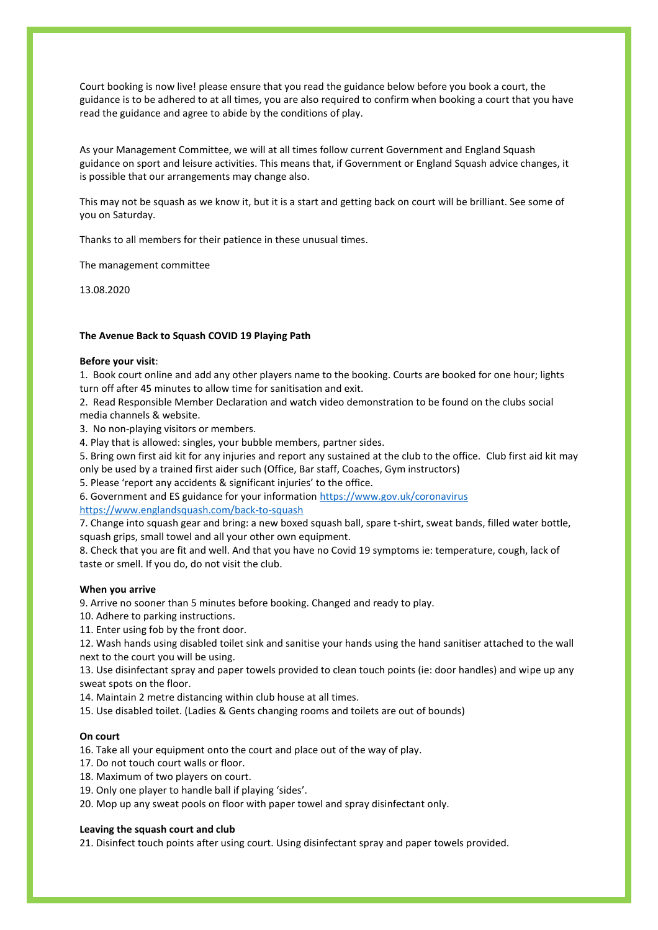Court booking is now live! please ensure that you read the guidance below before you book a court, the guidance is to be adhered to at all times, you are also required to confirm when booking a court that you have read the guidance and agree to abide by the conditions of play.

As your Management Committee, we will at all times follow current Government and England Squash guidance on sport and leisure activities. This means that, if Government or England Squash advice changes, it is possible that our arrangements may change also.

This may not be squash as we know it, but it is a start and getting back on court will be brilliant. See some of you on Saturday.

Thanks to all members for their patience in these unusual times.

The management committee

13.08.2020

#### **The Avenue Back to Squash COVID 19 Playing Path**

#### **Before your visit**:

1. Book court online and add any other players name to the booking. Courts are booked for one hour; lights turn off after 45 minutes to allow time for sanitisation and exit.

2. Read Responsible Member Declaration and watch video demonstration to be found on the clubs social media channels & website.

3. No non-playing visitors or members.

4. Play that is allowed: singles, your bubble members, partner sides.

5. Bring own first aid kit for any injuries and report any sustained at the club to the office. Club first aid kit may only be used by a trained first aider such (Office, Bar staff, Coaches, Gym instructors)

5. Please 'report any accidents & significant injuries' to the office.

6. Government and ES guidance for your information<https://www.gov.uk/coronavirus> <https://www.englandsquash.com/back-to-squash>

7. Change into squash gear and bring: a new boxed squash ball, spare t-shirt, sweat bands, filled water bottle, squash grips, small towel and all your other own equipment.

8. Check that you are fit and well. And that you have no Covid 19 symptoms ie: temperature, cough, lack of taste or smell. If you do, do not visit the club.

#### **When you arrive**

9. Arrive no sooner than 5 minutes before booking. Changed and ready to play.

10. Adhere to parking instructions.

11. Enter using fob by the front door.

12. Wash hands using disabled toilet sink and sanitise your hands using the hand sanitiser attached to the wall next to the court you will be using.

13. Use disinfectant spray and paper towels provided to clean touch points (ie: door handles) and wipe up any sweat spots on the floor.

14. Maintain 2 metre distancing within club house at all times.

15. Use disabled toilet. (Ladies & Gents changing rooms and toilets are out of bounds)

#### **On court**

16. Take all your equipment onto the court and place out of the way of play.

17. Do not touch court walls or floor.

18. Maximum of two players on court.

19. Only one player to handle ball if playing 'sides'.

20. Mop up any sweat pools on floor with paper towel and spray disinfectant only.

#### **Leaving the squash court and club**

21. Disinfect touch points after using court. Using disinfectant spray and paper towels provided.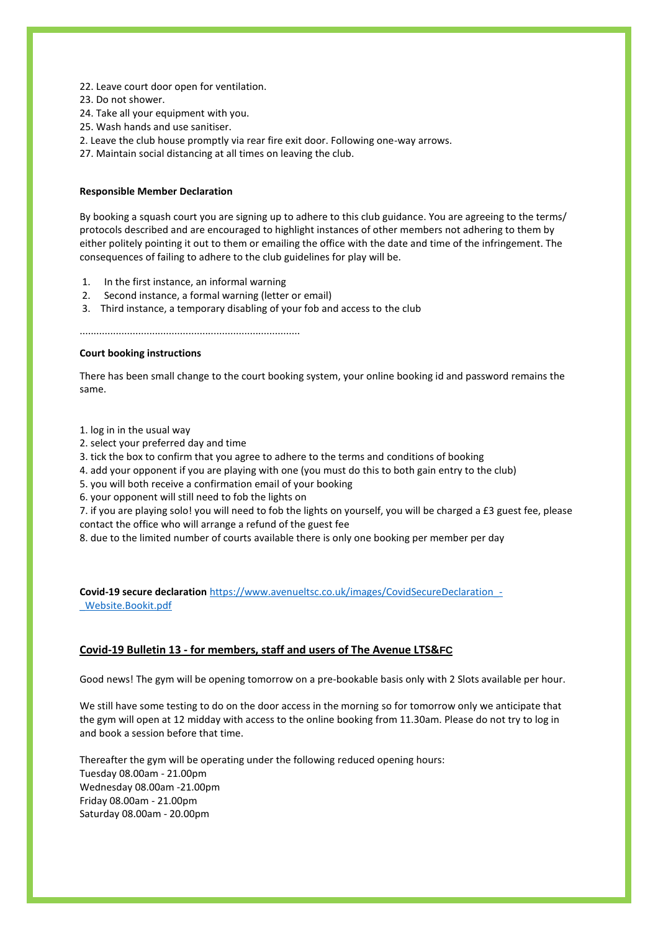- 22. Leave court door open for ventilation.
- 23. Do not shower.
- 24. Take all your equipment with you.
- 25. Wash hands and use sanitiser.
- 2. Leave the club house promptly via rear fire exit door. Following one-way arrows.
- 27. Maintain social distancing at all times on leaving the club.

## **Responsible Member Declaration**

By booking a squash court you are signing up to adhere to this club guidance. You are agreeing to the terms/ protocols described and are encouraged to highlight instances of other members not adhering to them by either politely pointing it out to them or emailing the office with the date and time of the infringement. The consequences of failing to adhere to the club guidelines for play will be.

- 1. In the first instance, an informal warning
- 2. Second instance, a formal warning (letter or email)
- 3. Third instance, a temporary disabling of your fob and access to the club

...............................................................................

## **Court booking instructions**

There has been small change to the court booking system, your online booking id and password remains the same.

1. log in in the usual way

- 2. select your preferred day and time
- 3. tick the box to confirm that you agree to adhere to the terms and conditions of booking
- 4. add your opponent if you are playing with one (you must do this to both gain entry to the club)
- 5. you will both receive a confirmation email of your booking
- 6. your opponent will still need to fob the lights on

7. if you are playing solo! you will need to fob the lights on yourself, you will be charged a £3 guest fee, please contact the office who will arrange a refund of the guest fee

8. due to the limited number of courts available there is only one booking per member per day

**Covid-19 secure declaration** https://www.avenueltsc.co.uk/images/CovidSecureDeclaration -[\\_Website.Bookit.pdf](https://www.avenueltsc.co.uk/images/CovidSecureDeclaration_-_Website.Bookit.pdf)

# **Covid-19 Bulletin 13 - for members, staff and users of The Avenue LTS&FC**

Good news! The gym will be opening tomorrow on a pre-bookable basis only with 2 Slots available per hour.

We still have some testing to do on the door access in the morning so for tomorrow only we anticipate that the gym will open at 12 midday with access to the online booking from 11.30am. Please do not try to log in and book a session before that time.

Thereafter the gym will be operating under the following reduced opening hours: Tuesday 08.00am - 21.00pm Wednesday 08.00am -21.00pm Friday 08.00am - 21.00pm Saturday 08.00am - 20.00pm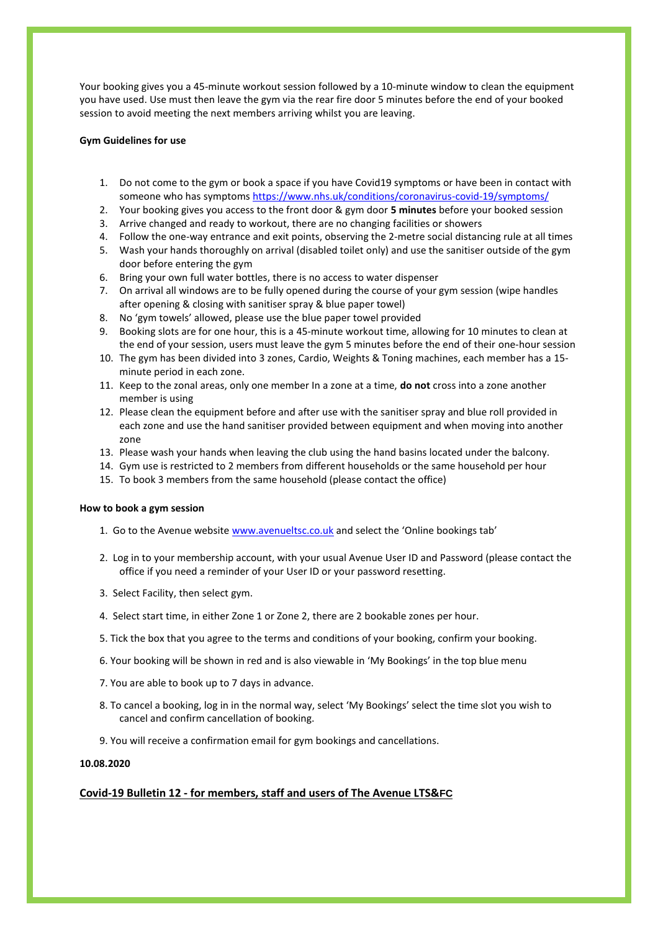Your booking gives you a 45-minute workout session followed by a 10-minute window to clean the equipment you have used. Use must then leave the gym via the rear fire door 5 minutes before the end of your booked session to avoid meeting the next members arriving whilst you are leaving.

## **Gym Guidelines for use**

- 1. Do not come to the gym or book a space if you have Covid19 symptoms or have been in contact with someone who has symptom[s https://www.nhs.uk/conditions/coronavirus-covid-19/symptoms/](https://www.nhs.uk/conditions/coronavirus-covid-19/symptoms/)
- 2. Your booking gives you access to the front door & gym door **5 minutes** before your booked session
- 3. Arrive changed and ready to workout, there are no changing facilities or showers
- 4. Follow the one-way entrance and exit points, observing the 2-metre social distancing rule at all times
- 5. Wash your hands thoroughly on arrival (disabled toilet only) and use the sanitiser outside of the gym door before entering the gym
- 6. Bring your own full water bottles, there is no access to water dispenser
- 7. On arrival all windows are to be fully opened during the course of your gym session (wipe handles after opening & closing with sanitiser spray & blue paper towel)
- 8. No 'gym towels' allowed, please use the blue paper towel provided
- 9. Booking slots are for one hour, this is a 45-minute workout time, allowing for 10 minutes to clean at the end of your session, users must leave the gym 5 minutes before the end of their one-hour session
- 10. The gym has been divided into 3 zones, Cardio, Weights & Toning machines, each member has a 15 minute period in each zone.
- 11. Keep to the zonal areas, only one member In a zone at a time, **do not** cross into a zone another member is using
- 12. Please clean the equipment before and after use with the sanitiser spray and blue roll provided in each zone and use the hand sanitiser provided between equipment and when moving into another zone
- 13. Please wash your hands when leaving the club using the hand basins located under the balcony.
- 14. Gym use is restricted to 2 members from different households or the same household per hour
- 15. To book 3 members from the same household (please contact the office)

### **How to book a gym session**

- 1. Go to the Avenue website [www.avenueltsc.co.uk](http://www.avenueltsc.co.uk/) and select the 'Online bookings tab'
- 2. Log in to your membership account, with your usual Avenue User ID and Password (please contact the office if you need a reminder of your User ID or your password resetting.
- 3. Select Facility, then select gym.
- 4. Select start time, in either Zone 1 or Zone 2, there are 2 bookable zones per hour.
- 5. Tick the box that you agree to the terms and conditions of your booking, confirm your booking.
- 6. Your booking will be shown in red and is also viewable in 'My Bookings' in the top blue menu
- 7. You are able to book up to 7 days in advance.
- 8. To cancel a booking, log in in the normal way, select 'My Bookings' select the time slot you wish to cancel and confirm cancellation of booking.
- 9. You will receive a confirmation email for gym bookings and cancellations.

### **10.08.2020**

# **Covid-19 Bulletin 12 - for members, staff and users of The Avenue LTS&FC**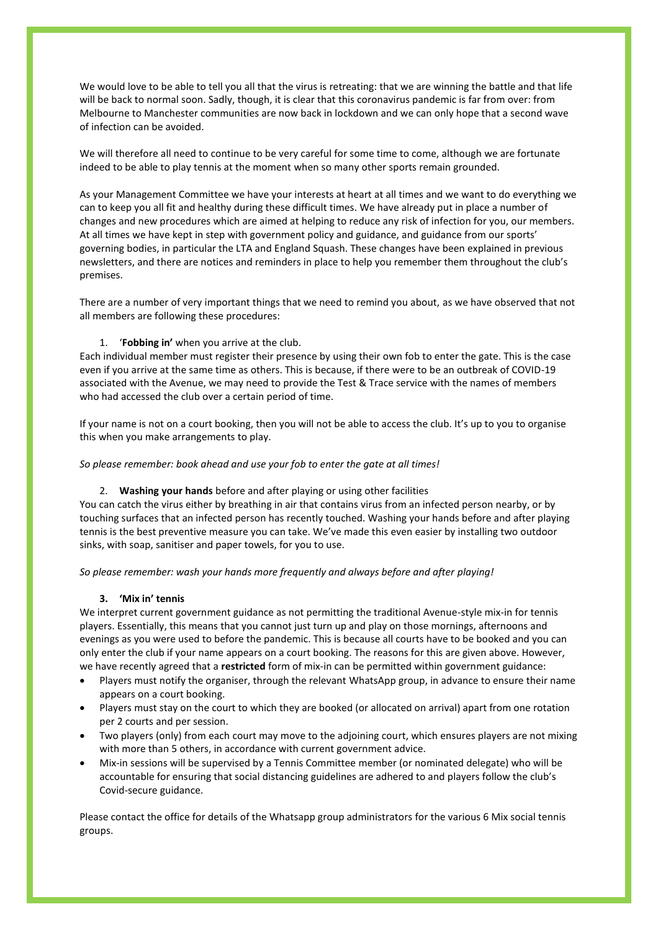We would love to be able to tell you all that the virus is retreating: that we are winning the battle and that life will be back to normal soon. Sadly, though, it is clear that this coronavirus pandemic is far from over: from Melbourne to Manchester communities are now back in lockdown and we can only hope that a second wave of infection can be avoided.

We will therefore all need to continue to be very careful for some time to come, although we are fortunate indeed to be able to play tennis at the moment when so many other sports remain grounded.

As your Management Committee we have your interests at heart at all times and we want to do everything we can to keep you all fit and healthy during these difficult times. We have already put in place a number of changes and new procedures which are aimed at helping to reduce any risk of infection for you, our members. At all times we have kept in step with government policy and guidance, and guidance from our sports' governing bodies, in particular the LTA and England Squash. These changes have been explained in previous newsletters, and there are notices and reminders in place to help you remember them throughout the club's premises.

There are a number of very important things that we need to remind you about, as we have observed that not all members are following these procedures:

## 1. '**Fobbing in'** when you arrive at the club.

Each individual member must register their presence by using their own fob to enter the gate. This is the case even if you arrive at the same time as others. This is because, if there were to be an outbreak of COVID-19 associated with the Avenue, we may need to provide the Test & Trace service with the names of members who had accessed the club over a certain period of time.

If your name is not on a court booking, then you will not be able to access the club. It's up to you to organise this when you make arrangements to play.

*So please remember: book ahead and use your fob to enter the gate at all times!*

### 2. **Washing your hands** before and after playing or using other facilities

You can catch the virus either by breathing in air that contains virus from an infected person nearby, or by touching surfaces that an infected person has recently touched. Washing your hands before and after playing tennis is the best preventive measure you can take. We've made this even easier by installing two outdoor sinks, with soap, sanitiser and paper towels, for you to use.

*So please remember: wash your hands more frequently and always before and after playing!*

# **3. 'Mix in' tennis**

We interpret current government guidance as not permitting the traditional Avenue-style mix-in for tennis players. Essentially, this means that you cannot just turn up and play on those mornings, afternoons and evenings as you were used to before the pandemic. This is because all courts have to be booked and you can only enter the club if your name appears on a court booking. The reasons for this are given above. However, we have recently agreed that a **restricted** form of mix-in can be permitted within government guidance:

- Players must notify the organiser, through the relevant WhatsApp group, in advance to ensure their name appears on a court booking.
- Players must stay on the court to which they are booked (or allocated on arrival) apart from one rotation per 2 courts and per session.
- Two players (only) from each court may move to the adjoining court, which ensures players are not mixing with more than 5 others, in accordance with current government advice.
- Mix-in sessions will be supervised by a Tennis Committee member (or nominated delegate) who will be accountable for ensuring that social distancing guidelines are adhered to and players follow the club's Covid-secure guidance.

Please contact the office for details of the Whatsapp group administrators for the various 6 Mix social tennis groups.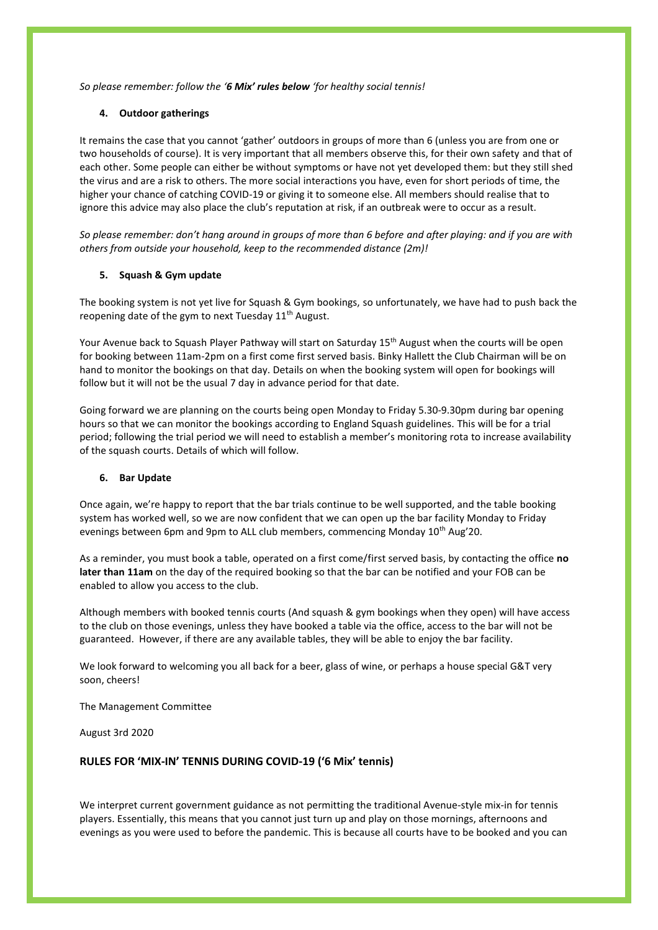*So please remember: follow the '6 Mix' rules below 'for healthy social tennis!*

## **4. Outdoor gatherings**

It remains the case that you cannot 'gather' outdoors in groups of more than 6 (unless you are from one or two households of course). It is very important that all members observe this, for their own safety and that of each other. Some people can either be without symptoms or have not yet developed them: but they still shed the virus and are a risk to others. The more social interactions you have, even for short periods of time, the higher your chance of catching COVID-19 or giving it to someone else. All members should realise that to ignore this advice may also place the club's reputation at risk, if an outbreak were to occur as a result.

*So please remember: don't hang around in groups of more than 6 before and after playing: and if you are with others from outside your household, keep to the recommended distance (2m)!*

## **5. Squash & Gym update**

The booking system is not yet live for Squash & Gym bookings, so unfortunately, we have had to push back the reopening date of the gym to next Tuesday 11<sup>th</sup> August.

Your Avenue back to Squash Player Pathway will start on Saturday 15<sup>th</sup> August when the courts will be open for booking between 11am-2pm on a first come first served basis. Binky Hallett the Club Chairman will be on hand to monitor the bookings on that day. Details on when the booking system will open for bookings will follow but it will not be the usual 7 day in advance period for that date.

Going forward we are planning on the courts being open Monday to Friday 5.30-9.30pm during bar opening hours so that we can monitor the bookings according to England Squash guidelines. This will be for a trial period; following the trial period we will need to establish a member's monitoring rota to increase availability of the squash courts. Details of which will follow.

### **6. Bar Update**

Once again, we're happy to report that the bar trials continue to be well supported, and the table booking system has worked well, so we are now confident that we can open up the bar facility Monday to Friday evenings between 6pm and 9pm to ALL club members, commencing Monday 10<sup>th</sup> Aug'20.

As a reminder, you must book a table, operated on a first come/first served basis, by contacting the office **no later than 11am** on the day of the required booking so that the bar can be notified and your FOB can be enabled to allow you access to the club.

Although members with booked tennis courts (And squash & gym bookings when they open) will have access to the club on those evenings, unless they have booked a table via the office, access to the bar will not be guaranteed. However, if there are any available tables, they will be able to enjoy the bar facility.

We look forward to welcoming you all back for a beer, glass of wine, or perhaps a house special G&T very soon, cheers!

The Management Committee

August 3rd 2020

# **RULES FOR 'MIX-IN' TENNIS DURING COVID-19 ('6 Mix' tennis)**

We interpret current government guidance as not permitting the traditional Avenue-style mix-in for tennis players. Essentially, this means that you cannot just turn up and play on those mornings, afternoons and evenings as you were used to before the pandemic. This is because all courts have to be booked and you can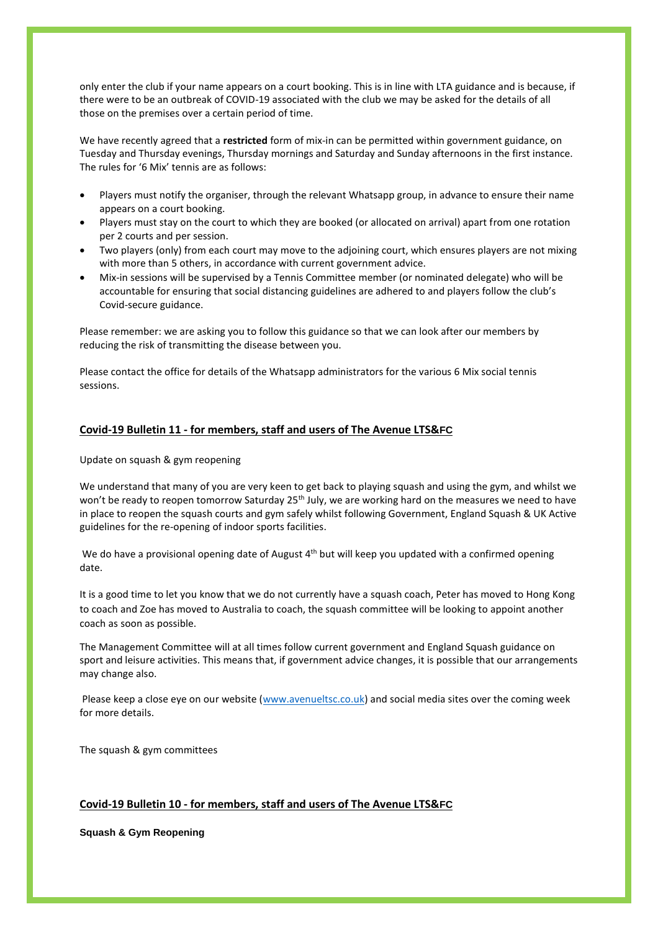only enter the club if your name appears on a court booking. This is in line with LTA guidance and is because, if there were to be an outbreak of COVID-19 associated with the club we may be asked for the details of all those on the premises over a certain period of time.

We have recently agreed that a **restricted** form of mix-in can be permitted within government guidance, on Tuesday and Thursday evenings, Thursday mornings and Saturday and Sunday afternoons in the first instance. The rules for '6 Mix' tennis are as follows:

- Players must notify the organiser, through the relevant Whatsapp group, in advance to ensure their name appears on a court booking.
- Players must stay on the court to which they are booked (or allocated on arrival) apart from one rotation per 2 courts and per session.
- Two players (only) from each court may move to the adjoining court, which ensures players are not mixing with more than 5 others, in accordance with current government advice.
- Mix-in sessions will be supervised by a Tennis Committee member (or nominated delegate) who will be accountable for ensuring that social distancing guidelines are adhered to and players follow the club's Covid-secure guidance.

Please remember: we are asking you to follow this guidance so that we can look after our members by reducing the risk of transmitting the disease between you.

Please contact the office for details of the Whatsapp administrators for the various 6 Mix social tennis sessions.

# **Covid-19 Bulletin 11 - for members, staff and users of The Avenue LTS&FC**

Update on squash & gym reopening

We understand that many of you are very keen to get back to playing squash and using the gym, and whilst we won't be ready to reopen tomorrow Saturday 25<sup>th</sup> July, we are working hard on the measures we need to have in place to reopen the squash courts and gym safely whilst following Government, England Squash & UK Active guidelines for the re-opening of indoor sports facilities.

We do have a provisional opening date of August 4<sup>th</sup> but will keep you updated with a confirmed opening date.

It is a good time to let you know that we do not currently have a squash coach, Peter has moved to Hong Kong to coach and Zoe has moved to Australia to coach, the squash committee will be looking to appoint another coach as soon as possible.

The Management Committee will at all times follow current government and England Squash guidance on sport and leisure activities. This means that, if government advice changes, it is possible that our arrangements may change also.

Please keep a close eye on our website [\(www.avenueltsc.co.uk\)](http://www.avenueltsc.co.uk/) and social media sites over the coming week for more details.

The squash & gym committees

# **Covid-19 Bulletin 10 - for members, staff and users of The Avenue LTS&FC**

**Squash & Gym Reopening**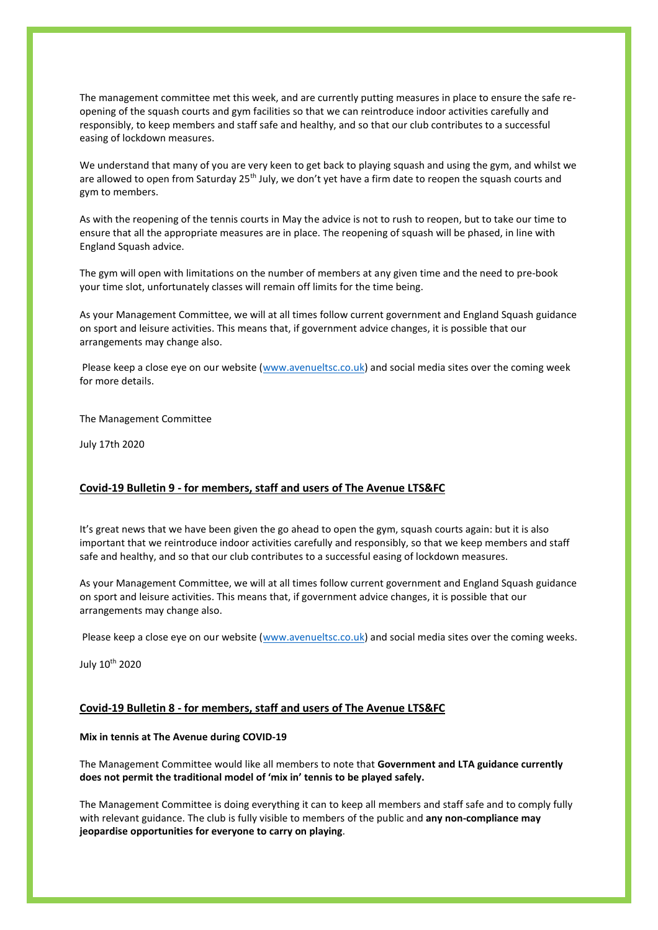The management committee met this week, and are currently putting measures in place to ensure the safe reopening of the squash courts and gym facilities so that we can reintroduce indoor activities carefully and responsibly, to keep members and staff safe and healthy, and so that our club contributes to a successful easing of lockdown measures.

We understand that many of you are very keen to get back to playing squash and using the gym, and whilst we are allowed to open from Saturday 25<sup>th</sup> July, we don't yet have a firm date to reopen the squash courts and gym to members.

As with the reopening of the tennis courts in May the advice is not to rush to reopen, but to take our time to ensure that all the appropriate measures are in place. The reopening of squash will be phased, in line with England Squash advice.

The gym will open with limitations on the number of members at any given time and the need to pre-book your time slot, unfortunately classes will remain off limits for the time being.

As your Management Committee, we will at all times follow current government and England Squash guidance on sport and leisure activities. This means that, if government advice changes, it is possible that our arrangements may change also.

Please keep a close eye on our website [\(www.avenueltsc.co.uk\)](http://www.avenueltsc.co.uk/) and social media sites over the coming week for more details.

The Management Committee

July 17th 2020

## **Covid-19 Bulletin 9 - for members, staff and users of The Avenue LTS&FC**

It's great news that we have been given the go ahead to open the gym, squash courts again: but it is also important that we reintroduce indoor activities carefully and responsibly, so that we keep members and staff safe and healthy, and so that our club contributes to a successful easing of lockdown measures.

As your Management Committee, we will at all times follow current government and England Squash guidance on sport and leisure activities. This means that, if government advice changes, it is possible that our arrangements may change also.

Please keep a close eye on our website [\(www.avenueltsc.co.uk\)](http://www.avenueltsc.co.uk/) and social media sites over the coming weeks.

July 10th 2020

# **Covid-19 Bulletin 8 - for members, staff and users of The Avenue LTS&FC**

#### **Mix in tennis at The Avenue during COVID-19**

The Management Committee would like all members to note that **Government and LTA guidance currently does not permit the traditional model of 'mix in' tennis to be played safely.**

The Management Committee is doing everything it can to keep all members and staff safe and to comply fully with relevant guidance. The club is fully visible to members of the public and **any non-compliance may jeopardise opportunities for everyone to carry on playing**.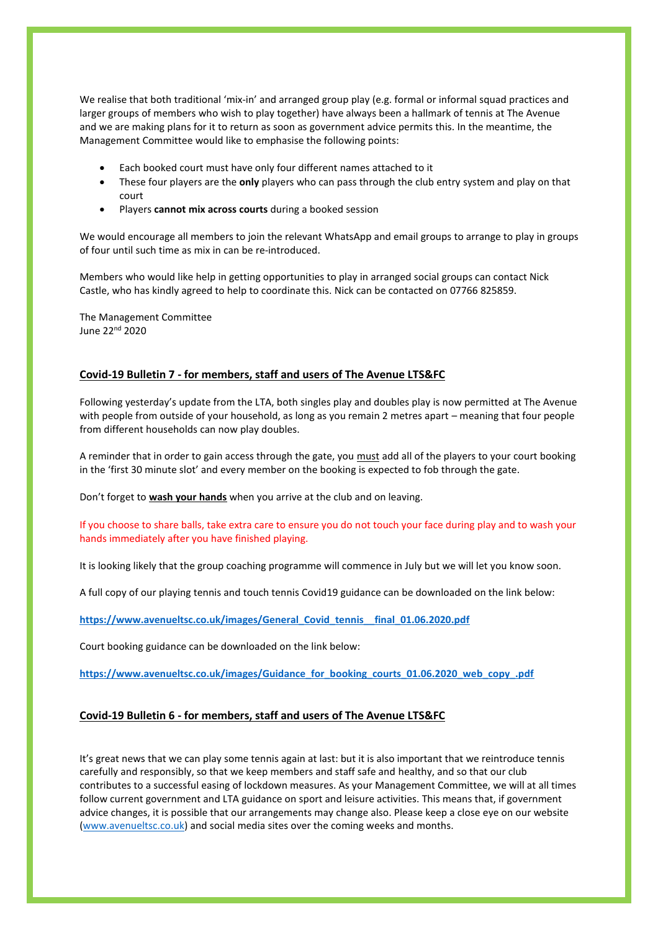We realise that both traditional 'mix-in' and arranged group play (e.g. formal or informal squad practices and larger groups of members who wish to play together) have always been a hallmark of tennis at The Avenue and we are making plans for it to return as soon as government advice permits this. In the meantime, the Management Committee would like to emphasise the following points:

- Each booked court must have only four different names attached to it
- These four players are the **only** players who can pass through the club entry system and play on that court
- Players **cannot mix across courts** during a booked session

We would encourage all members to join the relevant WhatsApp and email groups to arrange to play in groups of four until such time as mix in can be re-introduced.

Members who would like help in getting opportunities to play in arranged social groups can contact Nick Castle, who has kindly agreed to help to coordinate this. Nick can be contacted on 07766 825859.

The Management Committee June 22<sup>nd</sup> 2020

# **Covid-19 Bulletin 7 - for members, staff and users of The Avenue LTS&FC**

Following yesterday's update from the LTA, both singles play and doubles play is now permitted at The Avenue with people from outside of your household, as long as you remain 2 metres apart – meaning that four people from different households can now play doubles.

A reminder that in order to gain access through the gate, you must add all of the players to your court booking in the 'first 30 minute slot' and every member on the booking is expected to fob through the gate.

Don't forget to **wash your hands** when you arrive at the club and on leaving.

If you choose to share balls, take extra care to ensure you do not touch your face during play and to wash your hands immediately after you have finished playing.

It is looking likely that the group coaching programme will commence in July but we will let you know soon.

A full copy of our playing tennis and touch tennis Covid19 guidance can be downloaded on the link below:

**[https://www.avenueltsc.co.uk/images/General\\_Covid\\_tennis\\_\\_final\\_01.06.2020.pdf](https://www.avenueltsc.co.uk/images/General_Covid_tennis__final_01.06.2020.pdf)**

Court booking guidance can be downloaded on the link below:

**[https://www.avenueltsc.co.uk/images/Guidance\\_for\\_booking\\_courts\\_01.06.2020\\_web\\_copy\\_.pdf](https://www.avenueltsc.co.uk/images/Guidance_for_booking_courts_01.06.2020_web_copy_.pdf)**

# **Covid-19 Bulletin 6 - for members, staff and users of The Avenue LTS&FC**

It's great news that we can play some tennis again at last: but it is also important that we reintroduce tennis carefully and responsibly, so that we keep members and staff safe and healthy, and so that our club contributes to a successful easing of lockdown measures. As your Management Committee, we will at all times follow current government and LTA guidance on sport and leisure activities. This means that, if government advice changes, it is possible that our arrangements may change also. Please keep a close eye on our website [\(www.avenueltsc.co.uk\)](http://www.avenueltsc.co.uk/) and social media sites over the coming weeks and months.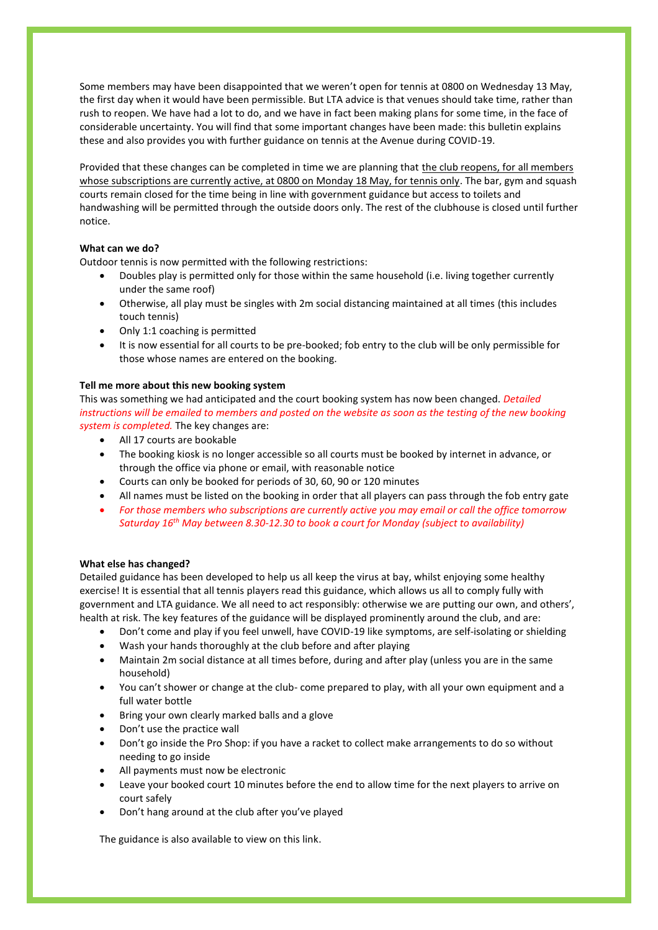Some members may have been disappointed that we weren't open for tennis at 0800 on Wednesday 13 May, the first day when it would have been permissible. But LTA advice is that venues should take time, rather than rush to reopen. We have had a lot to do, and we have in fact been making plans for some time, in the face of considerable uncertainty. You will find that some important changes have been made: this bulletin explains these and also provides you with further guidance on tennis at the Avenue during COVID-19.

Provided that these changes can be completed in time we are planning that the club reopens, for all members whose subscriptions are currently active, at 0800 on Monday 18 May, for tennis only. The bar, gym and squash courts remain closed for the time being in line with government guidance but access to toilets and handwashing will be permitted through the outside doors only. The rest of the clubhouse is closed until further notice.

# **What can we do?**

Outdoor tennis is now permitted with the following restrictions:

- Doubles play is permitted only for those within the same household (i.e. living together currently under the same roof)
- Otherwise, all play must be singles with 2m social distancing maintained at all times (this includes touch tennis)
- Only 1:1 coaching is permitted
- It is now essential for all courts to be pre-booked; fob entry to the club will be only permissible for those whose names are entered on the booking.

### **Tell me more about this new booking system**

This was something we had anticipated and the court booking system has now been changed. *Detailed instructions will be emailed to members and posted on the website as soon as the testing of the new booking system is completed.* The key changes are:

- All 17 courts are bookable
- The booking kiosk is no longer accessible so all courts must be booked by internet in advance, or through the office via phone or email, with reasonable notice
- Courts can only be booked for periods of 30, 60, 90 or 120 minutes
- All names must be listed on the booking in order that all players can pass through the fob entry gate
- *For those members who subscriptions are currently active you may email or call the office tomorrow Saturday 16th May between 8.30-12.30 to book a court for Monday (subject to availability)*

### **What else has changed?**

Detailed guidance has been developed to help us all keep the virus at bay, whilst enjoying some healthy exercise! It is essential that all tennis players read this guidance, which allows us all to comply fully with government and LTA guidance. We all need to act responsibly: otherwise we are putting our own, and others', health at risk. The key features of the guidance will be displayed prominently around the club, and are:

- Don't come and play if you feel unwell, have COVID-19 like symptoms, are self-isolating or shielding
- Wash your hands thoroughly at the club before and after playing
- Maintain 2m social distance at all times before, during and after play (unless you are in the same household)
- You can't shower or change at the club- come prepared to play, with all your own equipment and a full water bottle
- Bring your own clearly marked balls and a glove
- Don't use the practice wall
- Don't go inside the Pro Shop: if you have a racket to collect make arrangements to do so without needing to go inside
- All payments must now be electronic
- Leave your booked court 10 minutes before the end to allow time for the next players to arrive on court safely
- Don't hang around at the club after you've played

The guidance is also available to view on this link.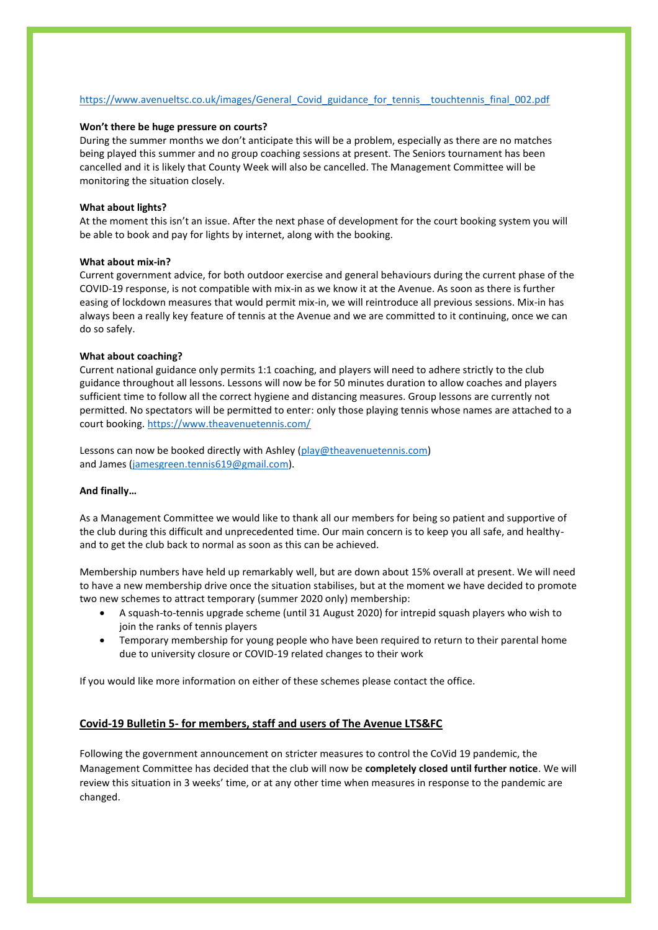## [https://www.avenueltsc.co.uk/images/General\\_Covid\\_guidance\\_for\\_tennis\\_\\_touchtennis\\_final\\_002.pdf](https://www.avenueltsc.co.uk/images/General_Covid_guidance_for_tennis__touchtennis_final_002.pdf)

#### **Won't there be huge pressure on courts?**

During the summer months we don't anticipate this will be a problem, especially as there are no matches being played this summer and no group coaching sessions at present. The Seniors tournament has been cancelled and it is likely that County Week will also be cancelled. The Management Committee will be monitoring the situation closely.

#### **What about lights?**

At the moment this isn't an issue. After the next phase of development for the court booking system you will be able to book and pay for lights by internet, along with the booking.

## **What about mix-in?**

Current government advice, for both outdoor exercise and general behaviours during the current phase of the COVID-19 response, is not compatible with mix-in as we know it at the Avenue. As soon as there is further easing of lockdown measures that would permit mix-in, we will reintroduce all previous sessions. Mix-in has always been a really key feature of tennis at the Avenue and we are committed to it continuing, once we can do so safely.

### **What about coaching?**

Current national guidance only permits 1:1 coaching, and players will need to adhere strictly to the club guidance throughout all lessons. Lessons will now be for 50 minutes duration to allow coaches and players sufficient time to follow all the correct hygiene and distancing measures. Group lessons are currently not permitted. No spectators will be permitted to enter: only those playing tennis whose names are attached to a court booking. <https://www.theavenuetennis.com/>

Lessons can now be booked directly with Ashley [\(play@theavenuetennis.com\)](mailto:play@theavenuetennis.com) and James [\(jamesgreen.tennis619@gmail.com\)](mailto:jamesgreen.tennis619@gmail.com).

## **And finally…**

As a Management Committee we would like to thank all our members for being so patient and supportive of the club during this difficult and unprecedented time. Our main concern is to keep you all safe, and healthyand to get the club back to normal as soon as this can be achieved.

Membership numbers have held up remarkably well, but are down about 15% overall at present. We will need to have a new membership drive once the situation stabilises, but at the moment we have decided to promote two new schemes to attract temporary (summer 2020 only) membership:

- A squash-to-tennis upgrade scheme (until 31 August 2020) for intrepid squash players who wish to join the ranks of tennis players
- Temporary membership for young people who have been required to return to their parental home due to university closure or COVID-19 related changes to their work

If you would like more information on either of these schemes please contact the office.

## **Covid-19 Bulletin 5- for members, staff and users of The Avenue LTS&FC**

Following the government announcement on stricter measures to control the CoVid 19 pandemic, the Management Committee has decided that the club will now be **completely closed until further notice**. We will review this situation in 3 weeks' time, or at any other time when measures in response to the pandemic are changed.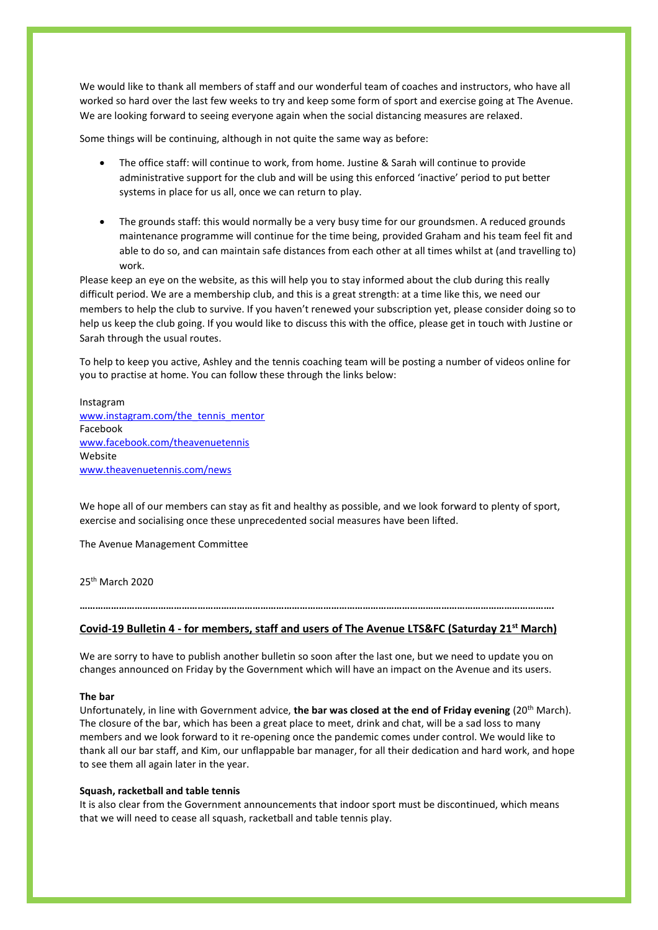We would like to thank all members of staff and our wonderful team of coaches and instructors, who have all worked so hard over the last few weeks to try and keep some form of sport and exercise going at The Avenue. We are looking forward to seeing everyone again when the social distancing measures are relaxed.

Some things will be continuing, although in not quite the same way as before:

- The office staff: will continue to work, from home. Justine & Sarah will continue to provide administrative support for the club and will be using this enforced 'inactive' period to put better systems in place for us all, once we can return to play.
- The grounds staff: this would normally be a very busy time for our groundsmen. A reduced grounds maintenance programme will continue for the time being, provided Graham and his team feel fit and able to do so, and can maintain safe distances from each other at all times whilst at (and travelling to) work.

Please keep an eye on the website, as this will help you to stay informed about the club during this really difficult period. We are a membership club, and this is a great strength: at a time like this, we need our members to help the club to survive. If you haven't renewed your subscription yet, please consider doing so to help us keep the club going. If you would like to discuss this with the office, please get in touch with Justine or Sarah through the usual routes.

To help to keep you active, Ashley and the tennis coaching team will be posting a number of videos online for you to practise at home. You can follow these through the links below:

### Instagram

[www.instagram.com/the\\_tennis\\_mentor](http://www.instagram.com/the_tennis_mentor) Facebook [www.facebook.com/theavenuetennis](http://www.facebook.com/theavenuetennis) Website [www.theavenuetennis.com/news](http://www.theavenuetennis.com/news)

We hope all of our members can stay as fit and healthy as possible, and we look forward to plenty of sport, exercise and socialising once these unprecedented social measures have been lifted.

The Avenue Management Committee

25th March 2020

# **………………………………………………………………………………………………………………………………………………………………. Covid-19 Bulletin 4 - for members, staff and users of The Avenue LTS&FC (Saturday 21st March)**

We are sorry to have to publish another bulletin so soon after the last one, but we need to update you on changes announced on Friday by the Government which will have an impact on the Avenue and its users.

### **The bar**

Unfortunately, in line with Government advice, **the bar was closed at the end of Friday evening** (20th March). The closure of the bar, which has been a great place to meet, drink and chat, will be a sad loss to many members and we look forward to it re-opening once the pandemic comes under control. We would like to thank all our bar staff, and Kim, our unflappable bar manager, for all their dedication and hard work, and hope to see them all again later in the year.

## **Squash, racketball and table tennis**

It is also clear from the Government announcements that indoor sport must be discontinued, which means that we will need to cease all squash, racketball and table tennis play.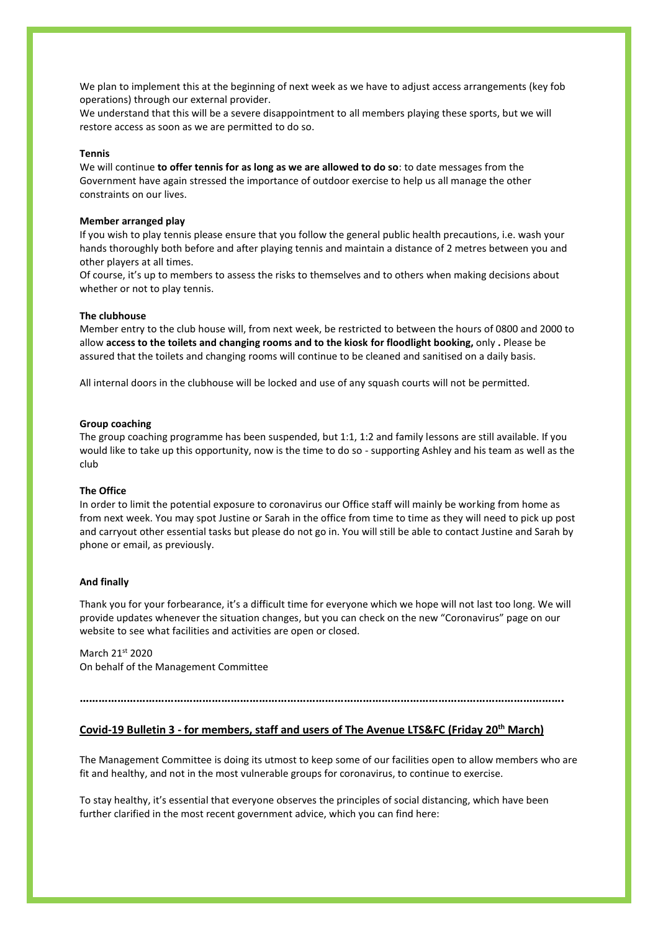We plan to implement this at the beginning of next week as we have to adjust access arrangements (key fob operations) through our external provider.

We understand that this will be a severe disappointment to all members playing these sports, but we will restore access as soon as we are permitted to do so.

#### **Tennis**

We will continue **to offer tennis for as long as we are allowed to do so**: to date messages from the Government have again stressed the importance of outdoor exercise to help us all manage the other constraints on our lives.

#### **Member arranged play**

If you wish to play tennis please ensure that you follow the general public health precautions, i.e. wash your hands thoroughly both before and after playing tennis and maintain a distance of 2 metres between you and other players at all times.

Of course, it's up to members to assess the risks to themselves and to others when making decisions about whether or not to play tennis.

#### **The clubhouse**

Member entry to the club house will, from next week, be restricted to between the hours of 0800 and 2000 to allow **access to the toilets and changing rooms and to the kiosk for floodlight booking,** only **.** Please be assured that the toilets and changing rooms will continue to be cleaned and sanitised on a daily basis.

All internal doors in the clubhouse will be locked and use of any squash courts will not be permitted.

#### **Group coaching**

The group coaching programme has been suspended, but 1:1, 1:2 and family lessons are still available. If you would like to take up this opportunity, now is the time to do so - supporting Ashley and his team as well as the club

## **The Office**

In order to limit the potential exposure to coronavirus our Office staff will mainly be working from home as from next week. You may spot Justine or Sarah in the office from time to time as they will need to pick up post and carryout other essential tasks but please do not go in. You will still be able to contact Justine and Sarah by phone or email, as previously.

#### **And finally**

Thank you for your forbearance, it's a difficult time for everyone which we hope will not last too long. We will provide updates whenever the situation changes, but you can check on the new "Coronavirus" page on our website to see what facilities and activities are open or closed.

March 21st 2020 On behalf of the Management Committee

**……………………………………………………………………………………………………………………………………….**

# **Covid-19 Bulletin 3 - for members, staff and users of The Avenue LTS&FC (Friday 20th March)**

The Management Committee is doing its utmost to keep some of our facilities open to allow members who are fit and healthy, and not in the most vulnerable groups for coronavirus, to continue to exercise.

To stay healthy, it's essential that everyone observes the principles of social distancing, which have been further clarified in the most recent government advice, which you can find here: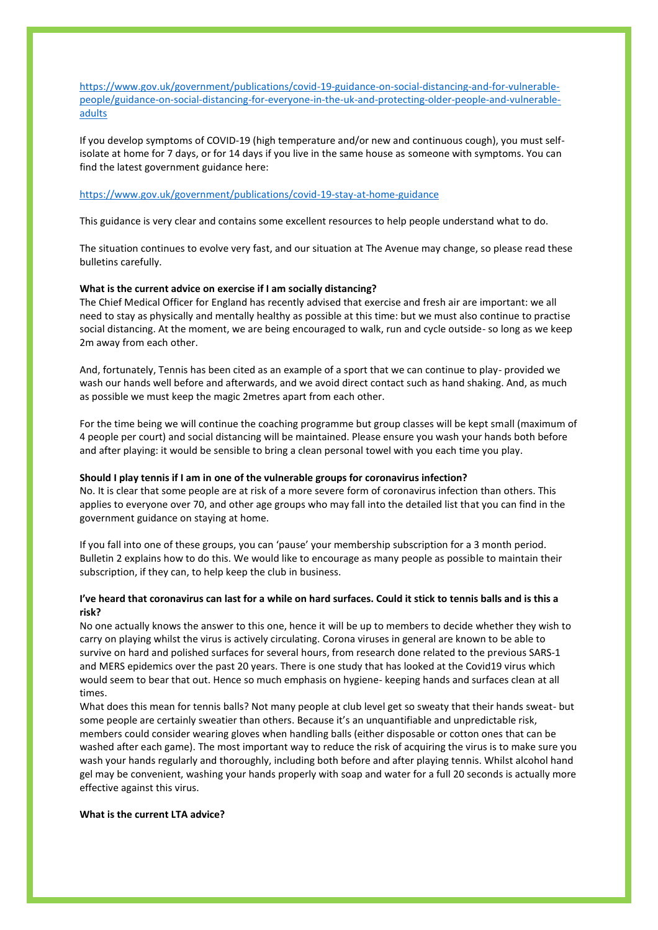[https://www.gov.uk/government/publications/covid-19-guidance-on-social-distancing-and-for-vulnerable](https://www.gov.uk/government/publications/covid-19-guidance-on-social-distancing-and-for-vulnerable-people/guidance-on-social-distancing-for-everyone-in-the-uk-and-protecting-older-people-and-vulnerable-adults)[people/guidance-on-social-distancing-for-everyone-in-the-uk-and-protecting-older-people-and-vulnerable](https://www.gov.uk/government/publications/covid-19-guidance-on-social-distancing-and-for-vulnerable-people/guidance-on-social-distancing-for-everyone-in-the-uk-and-protecting-older-people-and-vulnerable-adults)[adults](https://www.gov.uk/government/publications/covid-19-guidance-on-social-distancing-and-for-vulnerable-people/guidance-on-social-distancing-for-everyone-in-the-uk-and-protecting-older-people-and-vulnerable-adults)

If you develop symptoms of COVID-19 (high temperature and/or new and continuous cough), you must selfisolate at home for 7 days, or for 14 days if you live in the same house as someone with symptoms. You can find the latest government guidance here:

#### <https://www.gov.uk/government/publications/covid-19-stay-at-home-guidance>

This guidance is very clear and contains some excellent resources to help people understand what to do.

The situation continues to evolve very fast, and our situation at The Avenue may change, so please read these bulletins carefully.

#### **What is the current advice on exercise if I am socially distancing?**

The Chief Medical Officer for England has recently advised that exercise and fresh air are important: we all need to stay as physically and mentally healthy as possible at this time: but we must also continue to practise social distancing. At the moment, we are being encouraged to walk, run and cycle outside- so long as we keep 2m away from each other.

And, fortunately, Tennis has been cited as an example of a sport that we can continue to play- provided we wash our hands well before and afterwards, and we avoid direct contact such as hand shaking. And, as much as possible we must keep the magic 2metres apart from each other.

For the time being we will continue the coaching programme but group classes will be kept small (maximum of 4 people per court) and social distancing will be maintained. Please ensure you wash your hands both before and after playing: it would be sensible to bring a clean personal towel with you each time you play.

#### **Should I play tennis if I am in one of the vulnerable groups for coronavirus infection?**

No. It is clear that some people are at risk of a more severe form of coronavirus infection than others. This applies to everyone over 70, and other age groups who may fall into the detailed list that you can find in the government guidance on staying at home.

If you fall into one of these groups, you can 'pause' your membership subscription for a 3 month period. Bulletin 2 explains how to do this. We would like to encourage as many people as possible to maintain their subscription, if they can, to help keep the club in business.

# **I've heard that coronavirus can last for a while on hard surfaces. Could it stick to tennis balls and is this a risk?**

No one actually knows the answer to this one, hence it will be up to members to decide whether they wish to carry on playing whilst the virus is actively circulating. Corona viruses in general are known to be able to survive on hard and polished surfaces for several hours, from research done related to the previous SARS-1 and MERS epidemics over the past 20 years. There is one study that has looked at the Covid19 virus which would seem to bear that out. Hence so much emphasis on hygiene- keeping hands and surfaces clean at all times.

What does this mean for tennis balls? Not many people at club level get so sweaty that their hands sweat- but some people are certainly sweatier than others. Because it's an unquantifiable and unpredictable risk, members could consider wearing gloves when handling balls (either disposable or cotton ones that can be washed after each game). The most important way to reduce the risk of acquiring the virus is to make sure you wash your hands regularly and thoroughly, including both before and after playing tennis. Whilst alcohol hand gel may be convenient, washing your hands properly with soap and water for a full 20 seconds is actually more effective against this virus.

#### **What is the current LTA advice?**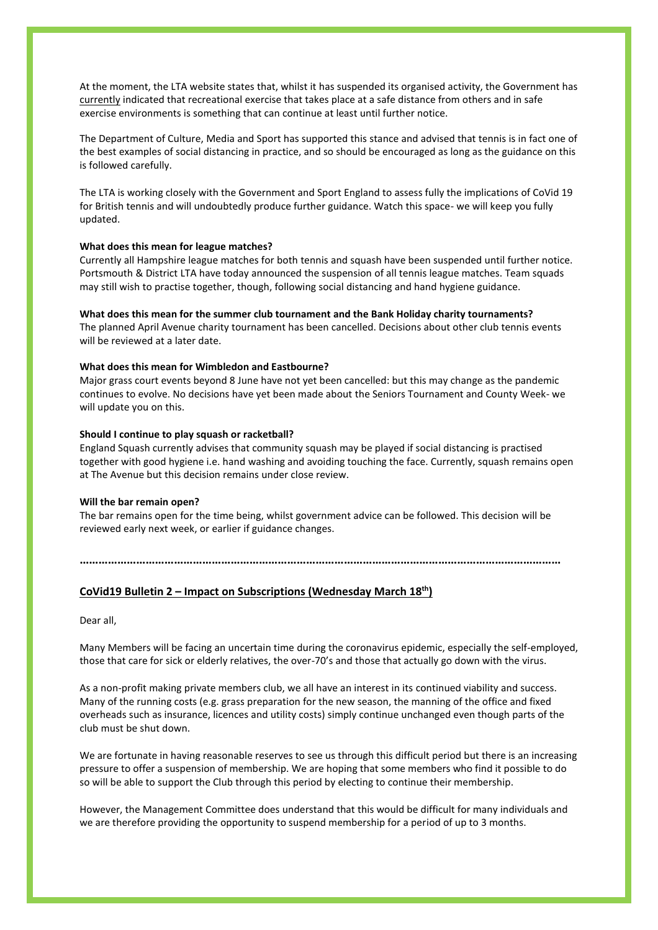At the moment, the LTA website states that, whilst it has suspended its organised activity, the Government has currently indicated that recreational exercise that takes place at a safe distance from others and in safe exercise environments is something that can continue at least until further notice.

The Department of Culture, Media and Sport has supported this stance and advised that tennis is in fact one of the best examples of social distancing in practice, and so should be encouraged as long as the guidance on this is followed carefully.

The LTA is working closely with the Government and Sport England to assess fully the implications of CoVid 19 for British tennis and will undoubtedly produce further guidance. Watch this space- we will keep you fully updated.

### **What does this mean for league matches?**

Currently all Hampshire league matches for both tennis and squash have been suspended until further notice. Portsmouth & District LTA have today announced the suspension of all tennis league matches. Team squads may still wish to practise together, though, following social distancing and hand hygiene guidance.

### **What does this mean for the summer club tournament and the Bank Holiday charity tournaments?**

The planned April Avenue charity tournament has been cancelled. Decisions about other club tennis events will be reviewed at a later date.

## **What does this mean for Wimbledon and Eastbourne?**

Major grass court events beyond 8 June have not yet been cancelled: but this may change as the pandemic continues to evolve. No decisions have yet been made about the Seniors Tournament and County Week- we will update you on this.

#### **Should I continue to play squash or racketball?**

England Squash currently advises that community squash may be played if social distancing is practised together with good hygiene i.e. hand washing and avoiding touching the face. Currently, squash remains open at The Avenue but this decision remains under close review.

### **Will the bar remain open?**

The bar remains open for the time being, whilst government advice can be followed. This decision will be reviewed early next week, or earlier if guidance changes.

#### **………………………………………………………………………………………………………………………………………**

# **CoVid19 Bulletin 2 – Impact on Subscriptions (Wednesday March 18th)**

Dear all,

Many Members will be facing an uncertain time during the coronavirus epidemic, especially the self-employed, those that care for sick or elderly relatives, the over-70's and those that actually go down with the virus.

As a non-profit making private members club, we all have an interest in its continued viability and success. Many of the running costs (e.g. grass preparation for the new season, the manning of the office and fixed overheads such as insurance, licences and utility costs) simply continue unchanged even though parts of the club must be shut down.

We are fortunate in having reasonable reserves to see us through this difficult period but there is an increasing pressure to offer a suspension of membership. We are hoping that some members who find it possible to do so will be able to support the Club through this period by electing to continue their membership.

However, the Management Committee does understand that this would be difficult for many individuals and we are therefore providing the opportunity to suspend membership for a period of up to 3 months.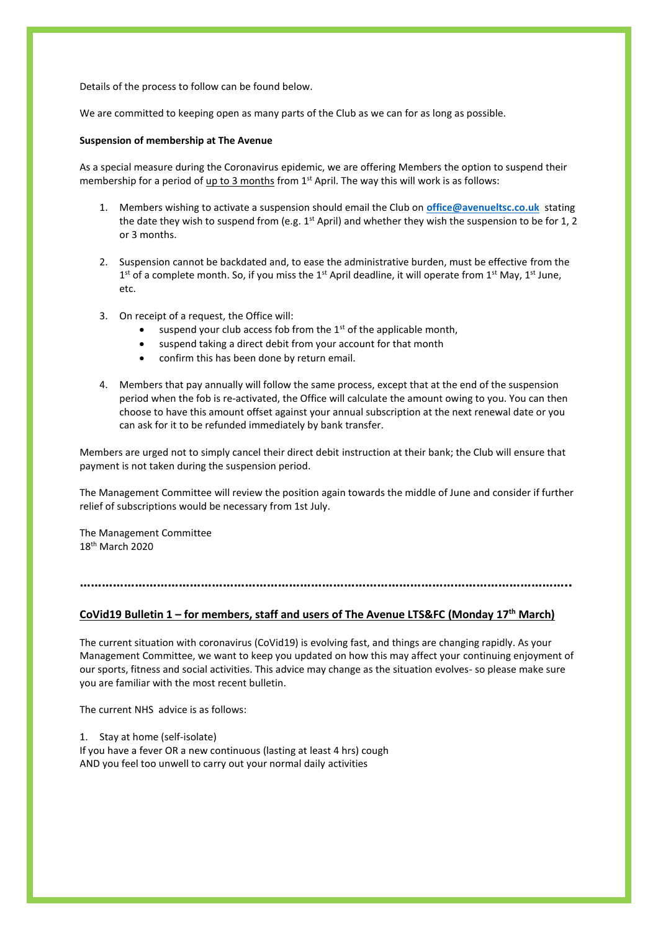Details of the process to follow can be found below.

We are committed to keeping open as many parts of the Club as we can for as long as possible.

#### **Suspension of membership at The Avenue**

As a special measure during the Coronavirus epidemic, we are offering Members the option to suspend their membership for a period of  $up to 3 months$  from 1<sup>st</sup> April. The way this will work is as follows:</u>

- 1. Members wishing to activate a suspension should email the Club on **[office@avenueltsc.co.uk](mailto:office@avenueltsc.co.uk)** stating the date they wish to suspend from (e.g.  $1^{st}$  April) and whether they wish the suspension to be for 1, 2 or 3 months.
- 2. Suspension cannot be backdated and, to ease the administrative burden, must be effective from the  $1<sup>st</sup>$  of a complete month. So, if you miss the 1<sup>st</sup> April deadline, it will operate from 1<sup>st</sup> May, 1<sup>st</sup> June, etc.
- 3. On receipt of a request, the Office will:
	- suspend your club access fob from the  $1<sup>st</sup>$  of the applicable month,
	- suspend taking a direct debit from your account for that month
	- confirm this has been done by return email.
- 4. Members that pay annually will follow the same process, except that at the end of the suspension period when the fob is re-activated, the Office will calculate the amount owing to you. You can then choose to have this amount offset against your annual subscription at the next renewal date or you can ask for it to be refunded immediately by bank transfer.

Members are urged not to simply cancel their direct debit instruction at their bank; the Club will ensure that payment is not taken during the suspension period.

The Management Committee will review the position again towards the middle of June and consider if further relief of subscriptions would be necessary from 1st July.

The Management Committee 18th March 2020

**……………………………………………………………………………………………………………………..**

## **CoVid19 Bulletin 1 – for members, staff and users of The Avenue LTS&FC (Monday 17th March)**

The current situation with coronavirus (CoVid19) is evolving fast, and things are changing rapidly. As your Management Committee, we want to keep you updated on how this may affect your continuing enjoyment of our sports, fitness and social activities. This advice may change as the situation evolves- so please make sure you are familiar with the most recent bulletin.

The current NHS advice is as follows:

1. Stay at home (self-isolate)

If you have a fever OR a new continuous (lasting at least 4 hrs) cough AND you feel too unwell to carry out your normal daily activities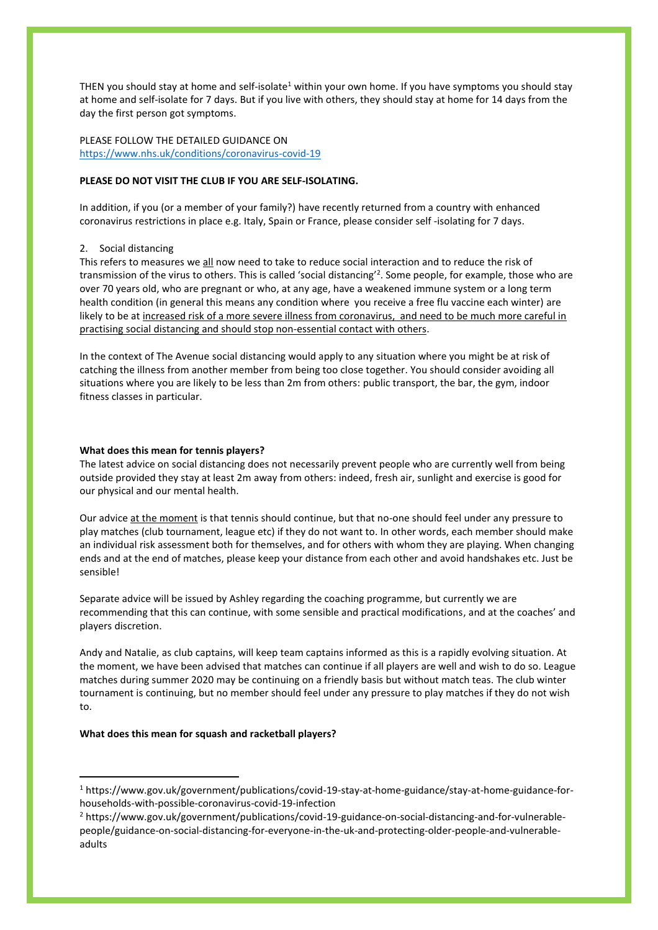THEN you should stay at home and self-isolate<sup>1</sup> within your own home. If you have symptoms you should stay at home and self-isolate for 7 days. But if you live with others, they should stay at home for 14 days from the day the first person got symptoms.

PLEASE FOLLOW THE DETAILED GUIDANCE ON <https://www.nhs.uk/conditions/coronavirus-covid-19>

## **PLEASE DO NOT VISIT THE CLUB IF YOU ARE SELF-ISOLATING.**

In addition, if you (or a member of your family?) have recently returned from a country with enhanced coronavirus restrictions in place e.g. Italy, Spain or France, please consider self -isolating for 7 days.

#### 2. Social distancing

This refers to measures we all now need to take to reduce social interaction and to reduce the risk of transmission of the virus to others. This is called 'social distancing'<sup>2</sup>. Some people, for example, those who are over 70 years old, who are pregnant or who, at any age, have a weakened immune system or a long term health condition (in general this means any condition where you receive a free flu vaccine each winter) are likely to be at increased risk of a more severe illness from coronavirus, and need to be much more careful in practising social distancing and should stop non-essential contact with others.

In the context of The Avenue social distancing would apply to any situation where you might be at risk of catching the illness from another member from being too close together. You should consider avoiding all situations where you are likely to be less than 2m from others: public transport, the bar, the gym, indoor fitness classes in particular.

#### **What does this mean for tennis players?**

The latest advice on social distancing does not necessarily prevent people who are currently well from being outside provided they stay at least 2m away from others: indeed, fresh air, sunlight and exercise is good for our physical and our mental health.

Our advice at the moment is that tennis should continue, but that no-one should feel under any pressure to play matches (club tournament, league etc) if they do not want to. In other words, each member should make an individual risk assessment both for themselves, and for others with whom they are playing. When changing ends and at the end of matches, please keep your distance from each other and avoid handshakes etc. Just be sensible!

Separate advice will be issued by Ashley regarding the coaching programme, but currently we are recommending that this can continue, with some sensible and practical modifications, and at the coaches' and players discretion.

Andy and Natalie, as club captains, will keep team captains informed as this is a rapidly evolving situation. At the moment, we have been advised that matches can continue if all players are well and wish to do so. League matches during summer 2020 may be continuing on a friendly basis but without match teas. The club winter tournament is continuing, but no member should feel under any pressure to play matches if they do not wish to.

#### **What does this mean for squash and racketball players?**

<sup>1</sup> https://www.gov.uk/government/publications/covid-19-stay-at-home-guidance/stay-at-home-guidance-forhouseholds-with-possible-coronavirus-covid-19-infection

<sup>2</sup> https://www.gov.uk/government/publications/covid-19-guidance-on-social-distancing-and-for-vulnerablepeople/guidance-on-social-distancing-for-everyone-in-the-uk-and-protecting-older-people-and-vulnerableadults